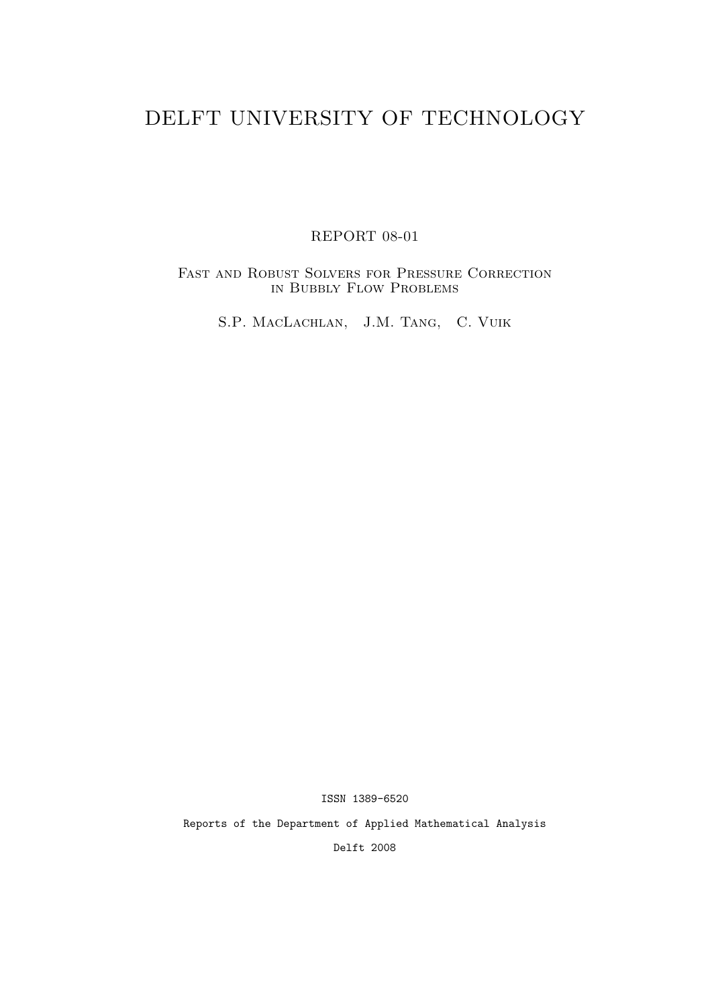# DELFT UNIVERSITY OF TECHNOLOGY

REPORT 08-01

Fast and Robust Solvers for Pressure Correction in Bubbly Flow Problems

S.P. MACLACHLAN, J.M. TANG, C. VUIK

ISSN 1389-6520

Reports of the Department of Applied Mathematical Analysis

Delft 2008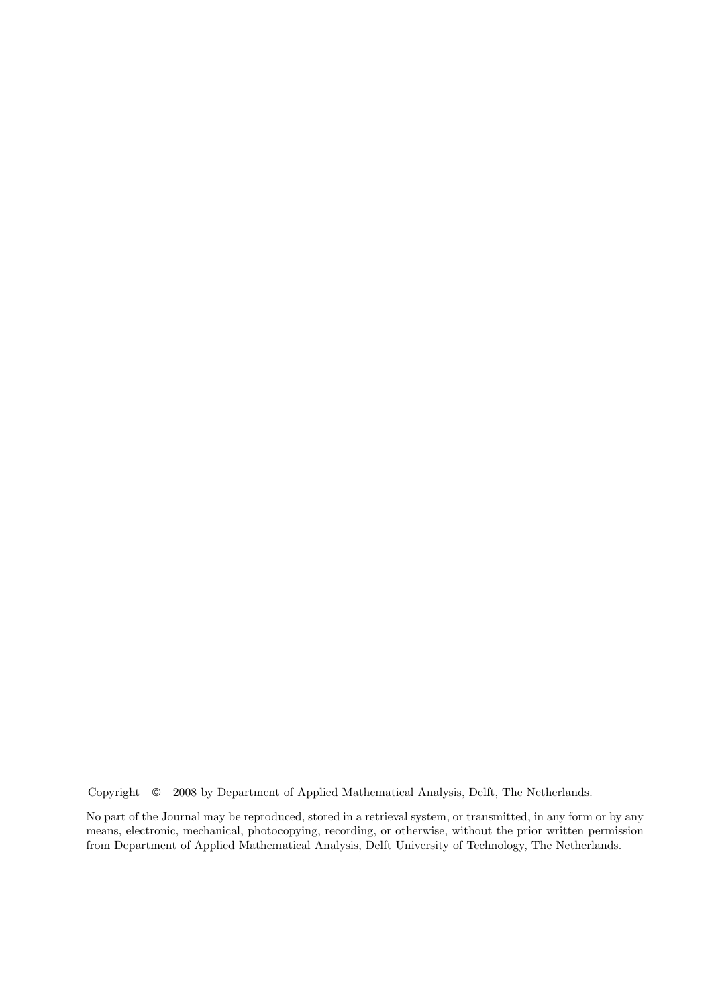Copyright 2008 by Department of Applied Mathematical Analysis, Delft, The Netherlands.

No part of the Journal may be reproduced, stored in a retrieval system, or transmitted, in any form or by any means, electronic, mechanical, photocopying, recording, or otherwise, without the prior written permission from Department of Applied Mathematical Analysis, Delft University of Technology, The Netherlands.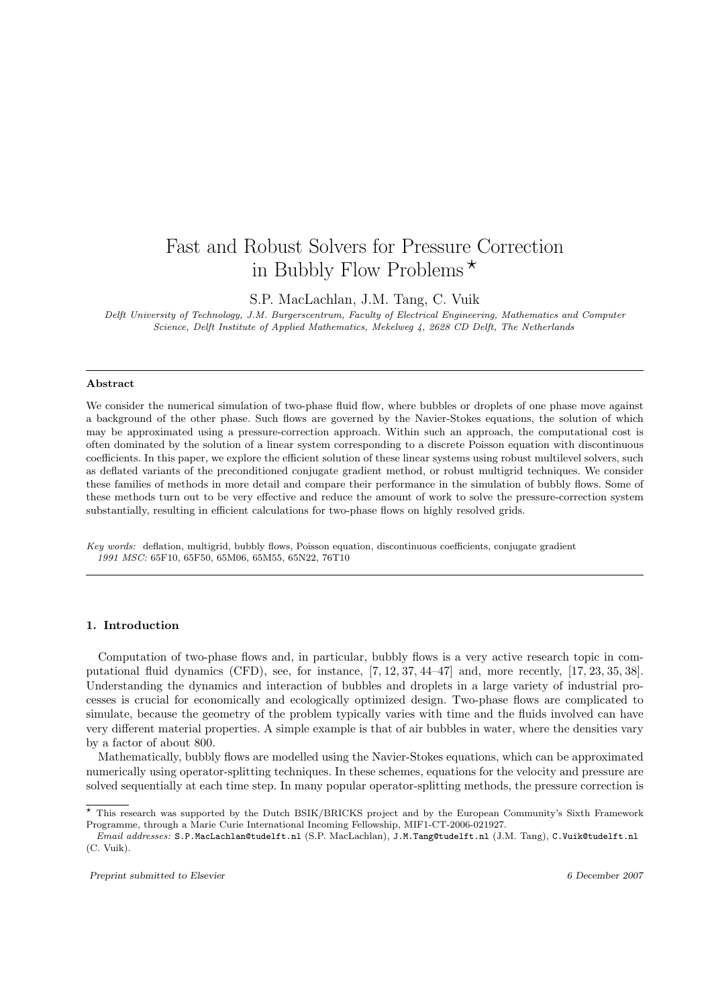## Fast and Robust Solvers for Pressure Correction in Bubbly Flow Problems  $\star$

S.P. MacLachlan, J.M. Tang, C. Vuik

Delft University of Technology, J.M. Burgerscentrum, Faculty of Electrical Engineering, Mathematics and Computer Science, Delft Institute of Applied Mathematics, Mekelweg 4, 2628 CD Delft, The Netherlands

#### Abstract

We consider the numerical simulation of two-phase fluid flow, where bubbles or droplets of one phase move against a background of the other phase. Such flows are governed by the Navier-Stokes equations, the solution of which may be approximated using a pressure-correction approach. Within such an approach, the computational cost is often dominated by the solution of a linear system corresponding to a discrete Poisson equation with discontinuous coefficients. In this paper, we explore the efficient solution of these linear systems using robust multilevel solvers, such as deflated variants of the preconditioned conjugate gradient method, or robust multigrid techniques. We consider these families of methods in more detail and compare their performance in the simulation of bubbly flows. Some of these methods turn out to be very effective and reduce the amount of work to solve the pressure-correction system substantially, resulting in efficient calculations for two-phase flows on highly resolved grids.

Key words: deflation, multigrid, bubbly flows, Poisson equation, discontinuous coefficients, conjugate gradient 1991 MSC: 65F10, 65F50, 65M06, 65M55, 65N22, 76T10

## 1. Introduction

Computation of two-phase flows and, in particular, bubbly flows is a very active research topic in computational fluid dynamics (CFD), see, for instance, [7, 12, 37, 44–47] and, more recently, [17, 23, 35, 38]. Understanding the dynamics and interaction of bubbles and droplets in a large variety of industrial processes is crucial for economically and ecologically optimized design. Two-phase flows are complicated to simulate, because the geometry of the problem typically varies with time and the fluids involved can have very different material properties. A simple example is that of air bubbles in water, where the densities vary by a factor of about 800.

Mathematically, bubbly flows are modelled using the Navier-Stokes equations, which can be approximated numerically using operator-splitting techniques. In these schemes, equations for the velocity and pressure are solved sequentially at each time step. In many popular operator-splitting methods, the pressure correction is

<sup>\*</sup> This research was supported by the Dutch BSIK/BRICKS project and by the European Community's Sixth Framework Programme, through a Marie Curie International Incoming Fellowship, MIF1-CT-2006-021927.

Email addresses: S.P.MacLachlan@tudelft.nl (S.P. MacLachlan), J.M.Tang@tudelft.nl (J.M. Tang), C.Vuik@tudelft.nl (C. Vuik).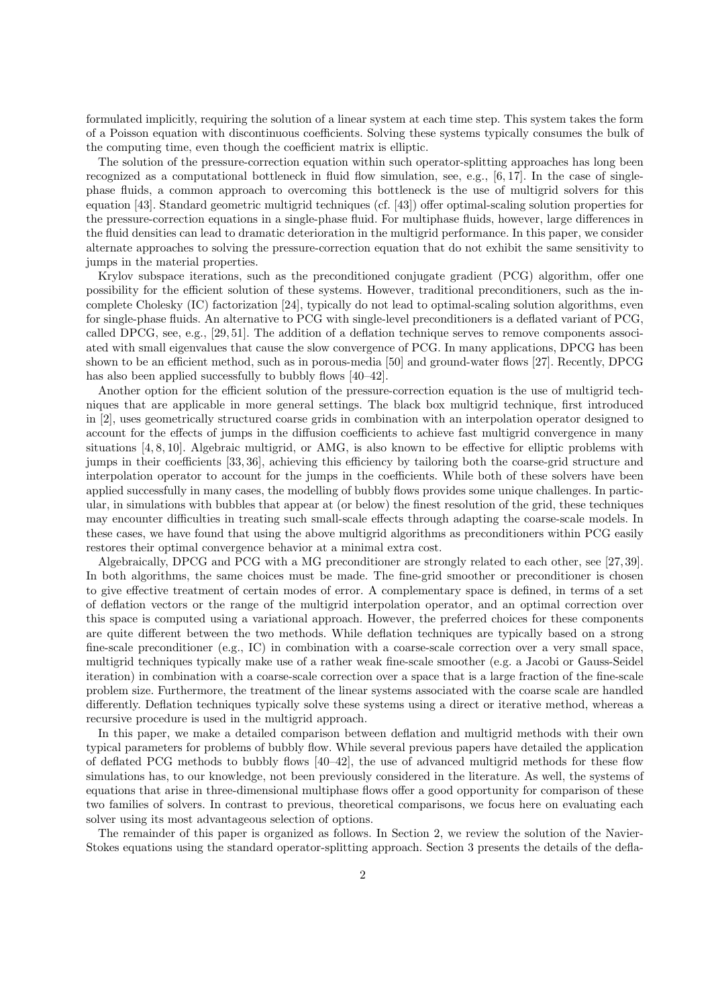formulated implicitly, requiring the solution of a linear system at each time step. This system takes the form of a Poisson equation with discontinuous coefficients. Solving these systems typically consumes the bulk of the computing time, even though the coefficient matrix is elliptic.

The solution of the pressure-correction equation within such operator-splitting approaches has long been recognized as a computational bottleneck in fluid flow simulation, see, e.g.,  $[6, 17]$ . In the case of singlephase fluids, a common approach to overcoming this bottleneck is the use of multigrid solvers for this equation [43]. Standard geometric multigrid techniques (cf. [43]) offer optimal-scaling solution properties for the pressure-correction equations in a single-phase fluid. For multiphase fluids, however, large differences in the fluid densities can lead to dramatic deterioration in the multigrid performance. In this paper, we consider alternate approaches to solving the pressure-correction equation that do not exhibit the same sensitivity to jumps in the material properties.

Krylov subspace iterations, such as the preconditioned conjugate gradient (PCG) algorithm, offer one possibility for the efficient solution of these systems. However, traditional preconditioners, such as the incomplete Cholesky (IC) factorization [24], typically do not lead to optimal-scaling solution algorithms, even for single-phase fluids. An alternative to PCG with single-level preconditioners is a deflated variant of PCG, called DPCG, see, e.g., [29, 51]. The addition of a deflation technique serves to remove components associated with small eigenvalues that cause the slow convergence of PCG. In many applications, DPCG has been shown to be an efficient method, such as in porous-media [50] and ground-water flows [27]. Recently, DPCG has also been applied successfully to bubbly flows [40–42].

Another option for the efficient solution of the pressure-correction equation is the use of multigrid techniques that are applicable in more general settings. The black box multigrid technique, first introduced in [2], uses geometrically structured coarse grids in combination with an interpolation operator designed to account for the effects of jumps in the diffusion coefficients to achieve fast multigrid convergence in many situations [4, 8, 10]. Algebraic multigrid, or AMG, is also known to be effective for elliptic problems with jumps in their coefficients [33, 36], achieving this efficiency by tailoring both the coarse-grid structure and interpolation operator to account for the jumps in the coefficients. While both of these solvers have been applied successfully in many cases, the modelling of bubbly flows provides some unique challenges. In particular, in simulations with bubbles that appear at (or below) the finest resolution of the grid, these techniques may encounter difficulties in treating such small-scale effects through adapting the coarse-scale models. In these cases, we have found that using the above multigrid algorithms as preconditioners within PCG easily restores their optimal convergence behavior at a minimal extra cost.

Algebraically, DPCG and PCG with a MG preconditioner are strongly related to each other, see [27, 39]. In both algorithms, the same choices must be made. The fine-grid smoother or preconditioner is chosen to give effective treatment of certain modes of error. A complementary space is defined, in terms of a set of deflation vectors or the range of the multigrid interpolation operator, and an optimal correction over this space is computed using a variational approach. However, the preferred choices for these components are quite different between the two methods. While deflation techniques are typically based on a strong fine-scale preconditioner (e.g., IC) in combination with a coarse-scale correction over a very small space, multigrid techniques typically make use of a rather weak fine-scale smoother (e.g. a Jacobi or Gauss-Seidel iteration) in combination with a coarse-scale correction over a space that is a large fraction of the fine-scale problem size. Furthermore, the treatment of the linear systems associated with the coarse scale are handled differently. Deflation techniques typically solve these systems using a direct or iterative method, whereas a recursive procedure is used in the multigrid approach.

In this paper, we make a detailed comparison between deflation and multigrid methods with their own typical parameters for problems of bubbly flow. While several previous papers have detailed the application of deflated PCG methods to bubbly flows [40–42], the use of advanced multigrid methods for these flow simulations has, to our knowledge, not been previously considered in the literature. As well, the systems of equations that arise in three-dimensional multiphase flows offer a good opportunity for comparison of these two families of solvers. In contrast to previous, theoretical comparisons, we focus here on evaluating each solver using its most advantageous selection of options.

The remainder of this paper is organized as follows. In Section 2, we review the solution of the Navier-Stokes equations using the standard operator-splitting approach. Section 3 presents the details of the defla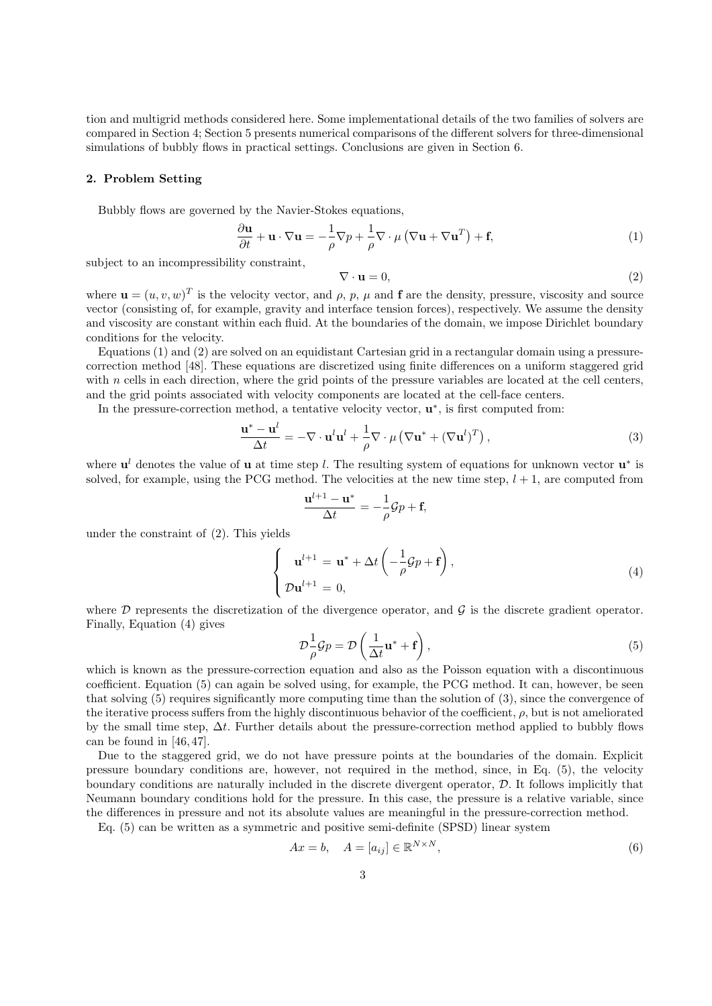tion and multigrid methods considered here. Some implementational details of the two families of solvers are compared in Section 4; Section 5 presents numerical comparisons of the different solvers for three-dimensional simulations of bubbly flows in practical settings. Conclusions are given in Section 6.

## 2. Problem Setting

Bubbly flows are governed by the Navier-Stokes equations,

$$
\frac{\partial \mathbf{u}}{\partial t} + \mathbf{u} \cdot \nabla \mathbf{u} = -\frac{1}{\rho} \nabla p + \frac{1}{\rho} \nabla \cdot \mu \left( \nabla \mathbf{u} + \nabla \mathbf{u}^T \right) + \mathbf{f},\tag{1}
$$

subject to an incompressibility constraint,

$$
\nabla \cdot \mathbf{u} = 0,\tag{2}
$$

where  $\mathbf{u} = (u, v, w)^T$  is the velocity vector, and  $\rho$ ,  $p$ ,  $\mu$  and **f** are the density, pressure, viscosity and source vector (consisting of, for example, gravity and interface tension forces), respectively. We assume the density and viscosity are constant within each fluid. At the boundaries of the domain, we impose Dirichlet boundary conditions for the velocity.

Equations (1) and (2) are solved on an equidistant Cartesian grid in a rectangular domain using a pressurecorrection method [48]. These equations are discretized using finite differences on a uniform staggered grid with  $n$  cells in each direction, where the grid points of the pressure variables are located at the cell centers, and the grid points associated with velocity components are located at the cell-face centers.

In the pressure-correction method, a tentative velocity vector,  $\mathbf{u}^*$ , is first computed from:

$$
\frac{\mathbf{u}^* - \mathbf{u}^l}{\Delta t} = -\nabla \cdot \mathbf{u}^l \mathbf{u}^l + \frac{1}{\rho} \nabla \cdot \mu \left( \nabla \mathbf{u}^* + (\nabla \mathbf{u}^l)^T \right),\tag{3}
$$

where  $\mathbf{u}^l$  denotes the value of **u** at time step l. The resulting system of equations for unknown vector  $\mathbf{u}^*$  is solved, for example, using the PCG method. The velocities at the new time step,  $l + 1$ , are computed from

$$
\frac{\mathbf{u}^{l+1} - \mathbf{u}^*}{\Delta t} = -\frac{1}{\rho}\mathcal{G}p + \mathbf{f},
$$

under the constraint of (2). This yields

$$
\begin{cases}\n\mathbf{u}^{l+1} = \mathbf{u}^* + \Delta t \left( -\frac{1}{\rho} \mathcal{G} p + \mathbf{f} \right), \\
\mathcal{D} \mathbf{u}^{l+1} = 0,\n\end{cases}
$$
\n(4)

where  $D$  represents the discretization of the divergence operator, and  $G$  is the discrete gradient operator. Finally, Equation (4) gives

$$
\mathcal{D}\frac{1}{\rho}\mathcal{G}p = \mathcal{D}\left(\frac{1}{\Delta t}\mathbf{u}^* + \mathbf{f}\right),\tag{5}
$$

which is known as the pressure-correction equation and also as the Poisson equation with a discontinuous coefficient. Equation (5) can again be solved using, for example, the PCG method. It can, however, be seen that solving (5) requires significantly more computing time than the solution of (3), since the convergence of the iterative process suffers from the highly discontinuous behavior of the coefficient,  $\rho$ , but is not ameliorated by the small time step,  $\Delta t$ . Further details about the pressure-correction method applied to bubbly flows can be found in [46, 47].

Due to the staggered grid, we do not have pressure points at the boundaries of the domain. Explicit pressure boundary conditions are, however, not required in the method, since, in Eq. (5), the velocity boundary conditions are naturally included in the discrete divergent operator,  $\mathcal{D}$ . It follows implicitly that Neumann boundary conditions hold for the pressure. In this case, the pressure is a relative variable, since the differences in pressure and not its absolute values are meaningful in the pressure-correction method.

Eq. (5) can be written as a symmetric and positive semi-definite (SPSD) linear system

$$
Ax = b, \quad A = [a_{ij}] \in \mathbb{R}^{N \times N},\tag{6}
$$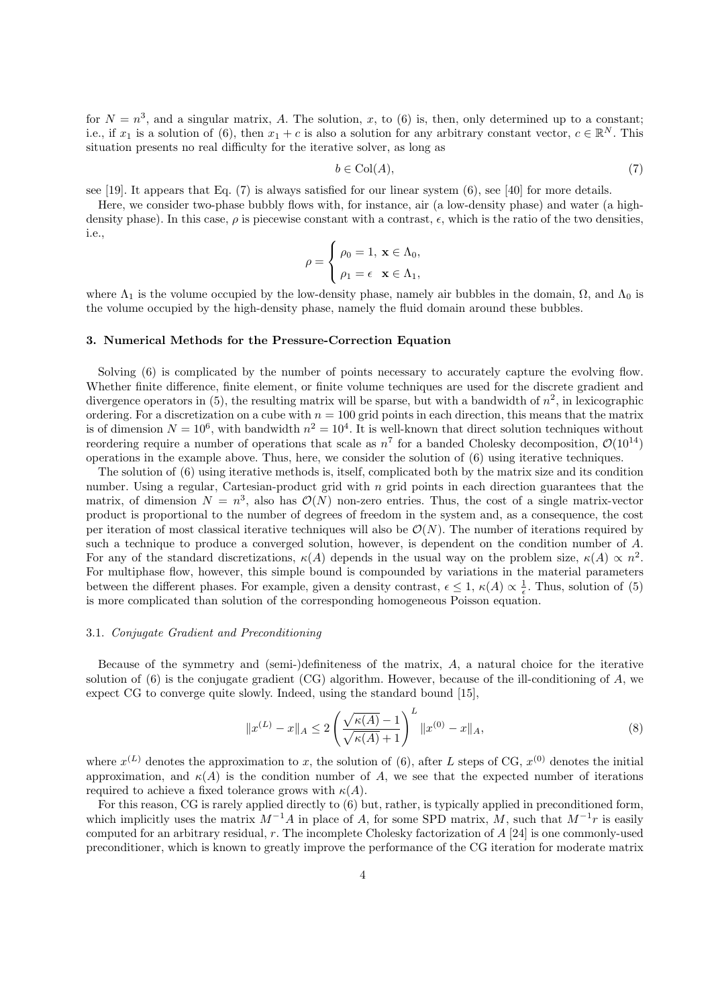for  $N = n^3$ , and a singular matrix, A. The solution, x, to (6) is, then, only determined up to a constant; i.e., if  $x_1$  is a solution of (6), then  $x_1 + c$  is also a solution for any arbitrary constant vector,  $c \in \mathbb{R}^N$ . This situation presents no real difficulty for the iterative solver, as long as

$$
b \in \text{Col}(A),\tag{7}
$$

see [19]. It appears that Eq. (7) is always satisfied for our linear system (6), see [40] for more details.

Here, we consider two-phase bubbly flows with, for instance, air (a low-density phase) and water (a highdensity phase). In this case,  $\rho$  is piecewise constant with a contrast,  $\epsilon$ , which is the ratio of the two densities, i.e.,

$$
\rho = \begin{cases} \rho_0 = 1, \ \mathbf{x} \in \Lambda_0, \\ \rho_1 = \epsilon \ \mathbf{x} \in \Lambda_1, \end{cases}
$$

where  $\Lambda_1$  is the volume occupied by the low-density phase, namely air bubbles in the domain,  $\Omega$ , and  $\Lambda_0$  is the volume occupied by the high-density phase, namely the fluid domain around these bubbles.

#### 3. Numerical Methods for the Pressure-Correction Equation

Solving (6) is complicated by the number of points necessary to accurately capture the evolving flow. Whether finite difference, finite element, or finite volume techniques are used for the discrete gradient and divergence operators in (5), the resulting matrix will be sparse, but with a bandwidth of  $n^2$ , in lexicographic ordering. For a discretization on a cube with  $n = 100$  grid points in each direction, this means that the matrix is of dimension  $N = 10^6$ , with bandwidth  $n^2 = 10^4$ . It is well-known that direct solution techniques without reordering require a number of operations that scale as  $n^7$  for a banded Cholesky decomposition,  $\mathcal{O}(10^{14})$ operations in the example above. Thus, here, we consider the solution of (6) using iterative techniques.

The solution of (6) using iterative methods is, itself, complicated both by the matrix size and its condition number. Using a regular, Cartesian-product grid with  $n$  grid points in each direction guarantees that the matrix, of dimension  $N = n^3$ , also has  $\mathcal{O}(N)$  non-zero entries. Thus, the cost of a single matrix-vector product is proportional to the number of degrees of freedom in the system and, as a consequence, the cost per iteration of most classical iterative techniques will also be  $\mathcal{O}(N)$ . The number of iterations required by such a technique to produce a converged solution, however, is dependent on the condition number of A. For any of the standard discretizations,  $\kappa(A)$  depends in the usual way on the problem size,  $\kappa(A) \propto n^2$ . For multiphase flow, however, this simple bound is compounded by variations in the material parameters between the different phases. For example, given a density contrast,  $\epsilon \leq 1$ ,  $\kappa(A) \propto \frac{1}{\epsilon}$ . Thus, solution of (5) is more complicated than solution of the corresponding homogeneous Poisson equation.

## 3.1. Conjugate Gradient and Preconditioning

Because of the symmetry and (semi-)definiteness of the matrix, A, a natural choice for the iterative solution of (6) is the conjugate gradient (CG) algorithm. However, because of the ill-conditioning of A, we expect CG to converge quite slowly. Indeed, using the standard bound [15],

$$
||x^{(L)} - x||_A \le 2\left(\frac{\sqrt{\kappa(A)} - 1}{\sqrt{\kappa(A)} + 1}\right)^L ||x^{(0)} - x||_A,
$$
\n(8)

where  $x^{(L)}$  denotes the approximation to x, the solution of (6), after L steps of CG,  $x^{(0)}$  denotes the initial approximation, and  $\kappa(A)$  is the condition number of A, we see that the expected number of iterations required to achieve a fixed tolerance grows with  $\kappa(A)$ .

For this reason, CG is rarely applied directly to (6) but, rather, is typically applied in preconditioned form, which implicitly uses the matrix  $M^{-1}A$  in place of A, for some SPD matrix, M, such that  $M^{-1}r$  is easily computed for an arbitrary residual, r. The incomplete Cholesky factorization of  $A$  [24] is one commonly-used preconditioner, which is known to greatly improve the performance of the CG iteration for moderate matrix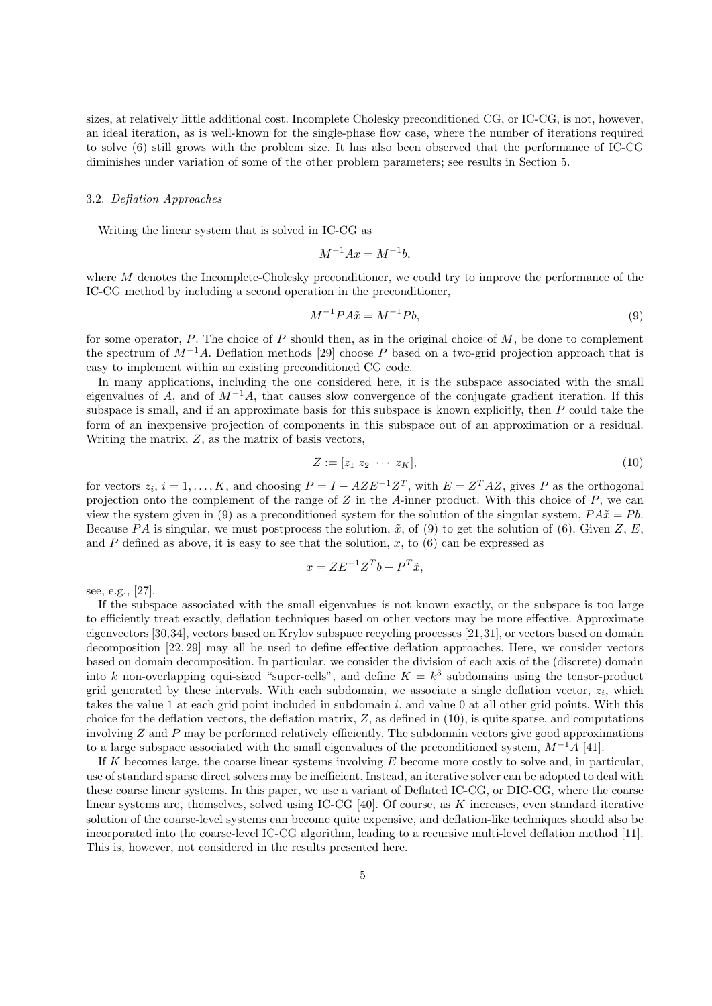sizes, at relatively little additional cost. Incomplete Cholesky preconditioned CG, or IC-CG, is not, however, an ideal iteration, as is well-known for the single-phase flow case, where the number of iterations required to solve (6) still grows with the problem size. It has also been observed that the performance of IC-CG diminishes under variation of some of the other problem parameters; see results in Section 5.

#### 3.2. Deflation Approaches

Writing the linear system that is solved in IC-CG as

$$
M^{-1}Ax = M^{-1}b,
$$

where M denotes the Incomplete-Cholesky preconditioner, we could try to improve the performance of the IC-CG method by including a second operation in the preconditioner,

$$
M^{-1}P A \tilde{x} = M^{-1}P b,\tag{9}
$$

for some operator,  $P$ . The choice of  $P$  should then, as in the original choice of  $M$ , be done to complement the spectrum of  $M^{-1}A$ . Deflation methods [29] choose P based on a two-grid projection approach that is easy to implement within an existing preconditioned CG code.

In many applications, including the one considered here, it is the subspace associated with the small eigenvalues of A, and of  $M^{-1}A$ , that causes slow convergence of the conjugate gradient iteration. If this subspace is small, and if an approximate basis for this subspace is known explicitly, then P could take the form of an inexpensive projection of components in this subspace out of an approximation or a residual. Writing the matrix,  $Z$ , as the matrix of basis vectors,

$$
Z := [z_1 \ z_2 \ \cdots \ z_K],\tag{10}
$$

for vectors  $z_i$ ,  $i = 1, ..., K$ , and choosing  $P = I - AZE^{-1}Z^T$ , with  $E = Z^T A Z$ , gives P as the orthogonal projection onto the complement of the range of  $Z$  in the A-inner product. With this choice of  $P$ , we can view the system given in (9) as a preconditioned system for the solution of the singular system,  $PA\tilde{x} = Pb$ . Because PA is singular, we must postprocess the solution,  $\tilde{x}$ , of (9) to get the solution of (6). Given Z, E, and P defined as above, it is easy to see that the solution, x, to  $(6)$  can be expressed as

$$
x = ZE^{-1}Z^{T}b + P^{T}\tilde{x},
$$

see, e.g., [27].

If the subspace associated with the small eigenvalues is not known exactly, or the subspace is too large to efficiently treat exactly, deflation techniques based on other vectors may be more effective. Approximate eigenvectors [30,34], vectors based on Krylov subspace recycling processes [21,31], or vectors based on domain decomposition [22, 29] may all be used to define effective deflation approaches. Here, we consider vectors based on domain decomposition. In particular, we consider the division of each axis of the (discrete) domain into k non-overlapping equi-sized "super-cells", and define  $K = k<sup>3</sup>$  subdomains using the tensor-product grid generated by these intervals. With each subdomain, we associate a single deflation vector,  $z_i$ , which takes the value 1 at each grid point included in subdomain  $i$ , and value 0 at all other grid points. With this choice for the deflation vectors, the deflation matrix,  $Z$ , as defined in  $(10)$ , is quite sparse, and computations involving Z and P may be performed relatively efficiently. The subdomain vectors give good approximations to a large subspace associated with the small eigenvalues of the preconditioned system,  $M^{-1}A$  [41].

If K becomes large, the coarse linear systems involving  $E$  become more costly to solve and, in particular, use of standard sparse direct solvers may be inefficient. Instead, an iterative solver can be adopted to deal with these coarse linear systems. In this paper, we use a variant of Deflated IC-CG, or DIC-CG, where the coarse linear systems are, themselves, solved using IC-CG [40]. Of course, as K increases, even standard iterative solution of the coarse-level systems can become quite expensive, and deflation-like techniques should also be incorporated into the coarse-level IC-CG algorithm, leading to a recursive multi-level deflation method [11]. This is, however, not considered in the results presented here.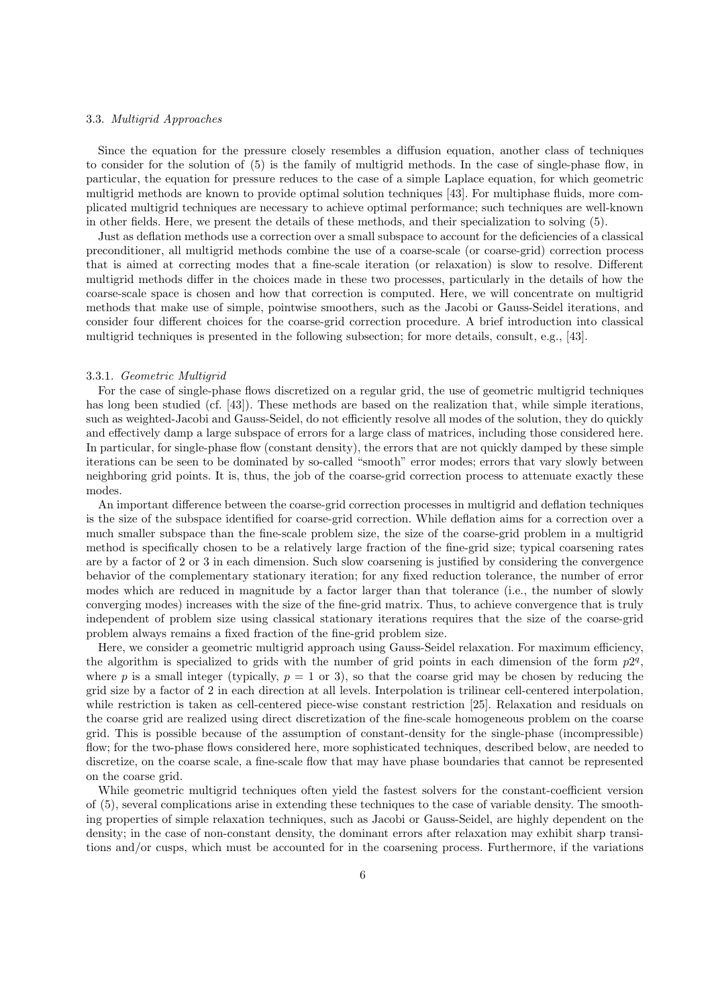#### 3.3. Multigrid Approaches

Since the equation for the pressure closely resembles a diffusion equation, another class of techniques to consider for the solution of (5) is the family of multigrid methods. In the case of single-phase flow, in particular, the equation for pressure reduces to the case of a simple Laplace equation, for which geometric multigrid methods are known to provide optimal solution techniques [43]. For multiphase fluids, more complicated multigrid techniques are necessary to achieve optimal performance; such techniques are well-known in other fields. Here, we present the details of these methods, and their specialization to solving (5).

Just as deflation methods use a correction over a small subspace to account for the deficiencies of a classical preconditioner, all multigrid methods combine the use of a coarse-scale (or coarse-grid) correction process that is aimed at correcting modes that a fine-scale iteration (or relaxation) is slow to resolve. Different multigrid methods differ in the choices made in these two processes, particularly in the details of how the coarse-scale space is chosen and how that correction is computed. Here, we will concentrate on multigrid methods that make use of simple, pointwise smoothers, such as the Jacobi or Gauss-Seidel iterations, and consider four different choices for the coarse-grid correction procedure. A brief introduction into classical multigrid techniques is presented in the following subsection; for more details, consult, e.g., [43].

#### 3.3.1. Geometric Multigrid

For the case of single-phase flows discretized on a regular grid, the use of geometric multigrid techniques has long been studied (cf. [43]). These methods are based on the realization that, while simple iterations, such as weighted-Jacobi and Gauss-Seidel, do not efficiently resolve all modes of the solution, they do quickly and effectively damp a large subspace of errors for a large class of matrices, including those considered here. In particular, for single-phase flow (constant density), the errors that are not quickly damped by these simple iterations can be seen to be dominated by so-called "smooth" error modes; errors that vary slowly between neighboring grid points. It is, thus, the job of the coarse-grid correction process to attenuate exactly these modes.

An important difference between the coarse-grid correction processes in multigrid and deflation techniques is the size of the subspace identified for coarse-grid correction. While deflation aims for a correction over a much smaller subspace than the fine-scale problem size, the size of the coarse-grid problem in a multigrid method is specifically chosen to be a relatively large fraction of the fine-grid size; typical coarsening rates are by a factor of 2 or 3 in each dimension. Such slow coarsening is justified by considering the convergence behavior of the complementary stationary iteration; for any fixed reduction tolerance, the number of error modes which are reduced in magnitude by a factor larger than that tolerance (i.e., the number of slowly converging modes) increases with the size of the fine-grid matrix. Thus, to achieve convergence that is truly independent of problem size using classical stationary iterations requires that the size of the coarse-grid problem always remains a fixed fraction of the fine-grid problem size.

Here, we consider a geometric multigrid approach using Gauss-Seidel relaxation. For maximum efficiency, the algorithm is specialized to grids with the number of grid points in each dimension of the form  $p2^q$ , where p is a small integer (typically,  $p = 1$  or 3), so that the coarse grid may be chosen by reducing the grid size by a factor of 2 in each direction at all levels. Interpolation is trilinear cell-centered interpolation, while restriction is taken as cell-centered piece-wise constant restriction [25]. Relaxation and residuals on the coarse grid are realized using direct discretization of the fine-scale homogeneous problem on the coarse grid. This is possible because of the assumption of constant-density for the single-phase (incompressible) flow; for the two-phase flows considered here, more sophisticated techniques, described below, are needed to discretize, on the coarse scale, a fine-scale flow that may have phase boundaries that cannot be represented on the coarse grid.

While geometric multigrid techniques often yield the fastest solvers for the constant-coefficient version of (5), several complications arise in extending these techniques to the case of variable density. The smoothing properties of simple relaxation techniques, such as Jacobi or Gauss-Seidel, are highly dependent on the density; in the case of non-constant density, the dominant errors after relaxation may exhibit sharp transitions and/or cusps, which must be accounted for in the coarsening process. Furthermore, if the variations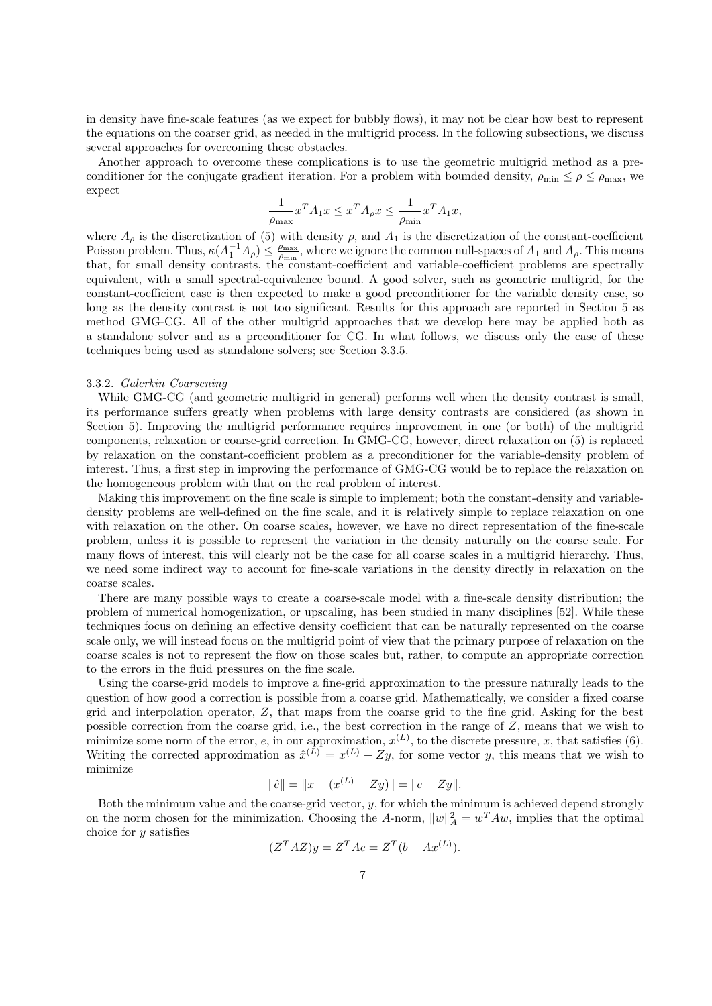in density have fine-scale features (as we expect for bubbly flows), it may not be clear how best to represent the equations on the coarser grid, as needed in the multigrid process. In the following subsections, we discuss several approaches for overcoming these obstacles.

Another approach to overcome these complications is to use the geometric multigrid method as a preconditioner for the conjugate gradient iteration. For a problem with bounded density,  $\rho_{\min} \leq \rho \leq \rho_{\max}$ , we expect

$$
\frac{1}{\rho_{\max}} x^T A_1 x \le x^T A_\rho x \le \frac{1}{\rho_{\min}} x^T A_1 x,
$$

where  $A_{\rho}$  is the discretization of (5) with density  $\rho$ , and  $A_1$  is the discretization of the constant-coefficient Poisson problem. Thus,  $\kappa(A_1^{-1}A_\rho) \leq \frac{\rho_{\max}}{\rho_{\min}}$ , where we ignore the common null-spaces of  $A_1$  and  $A_\rho$ . This means that, for small density contrasts, the constant-coefficient and variable-coefficient problems are spectrally equivalent, with a small spectral-equivalence bound. A good solver, such as geometric multigrid, for the constant-coefficient case is then expected to make a good preconditioner for the variable density case, so long as the density contrast is not too significant. Results for this approach are reported in Section 5 as method GMG-CG. All of the other multigrid approaches that we develop here may be applied both as a standalone solver and as a preconditioner for CG. In what follows, we discuss only the case of these techniques being used as standalone solvers; see Section 3.3.5.

#### 3.3.2. Galerkin Coarsening

While GMG-CG (and geometric multigrid in general) performs well when the density contrast is small, its performance suffers greatly when problems with large density contrasts are considered (as shown in Section 5). Improving the multigrid performance requires improvement in one (or both) of the multigrid components, relaxation or coarse-grid correction. In GMG-CG, however, direct relaxation on (5) is replaced by relaxation on the constant-coefficient problem as a preconditioner for the variable-density problem of interest. Thus, a first step in improving the performance of GMG-CG would be to replace the relaxation on the homogeneous problem with that on the real problem of interest.

Making this improvement on the fine scale is simple to implement; both the constant-density and variabledensity problems are well-defined on the fine scale, and it is relatively simple to replace relaxation on one with relaxation on the other. On coarse scales, however, we have no direct representation of the fine-scale problem, unless it is possible to represent the variation in the density naturally on the coarse scale. For many flows of interest, this will clearly not be the case for all coarse scales in a multigrid hierarchy. Thus, we need some indirect way to account for fine-scale variations in the density directly in relaxation on the coarse scales.

There are many possible ways to create a coarse-scale model with a fine-scale density distribution; the problem of numerical homogenization, or upscaling, has been studied in many disciplines [52]. While these techniques focus on defining an effective density coefficient that can be naturally represented on the coarse scale only, we will instead focus on the multigrid point of view that the primary purpose of relaxation on the coarse scales is not to represent the flow on those scales but, rather, to compute an appropriate correction to the errors in the fluid pressures on the fine scale.

Using the coarse-grid models to improve a fine-grid approximation to the pressure naturally leads to the question of how good a correction is possible from a coarse grid. Mathematically, we consider a fixed coarse grid and interpolation operator, Z, that maps from the coarse grid to the fine grid. Asking for the best possible correction from the coarse grid, i.e., the best correction in the range of Z, means that we wish to minimize some norm of the error, e, in our approximation,  $x^{(L)}$ , to the discrete pressure, x, that satisfies (6). Writing the corrected approximation as  $\hat{x}^{(L)} = x^{(L)} + Zy$ , for some vector y, this means that we wish to minimize

$$
\|\hat{e}\| = \|x - (x^{(L)} + Zy)\| = \|e - Zy\|.
$$

Both the minimum value and the coarse-grid vector,  $y$ , for which the minimum is achieved depend strongly on the norm chosen for the minimization. Choosing the A-norm,  $||w||_A^2 = w^T A w$ , implies that the optimal choice for y satisfies

$$
(Z^T A Z) y = Z^T A e = Z^T (b - A x^{(L)}).
$$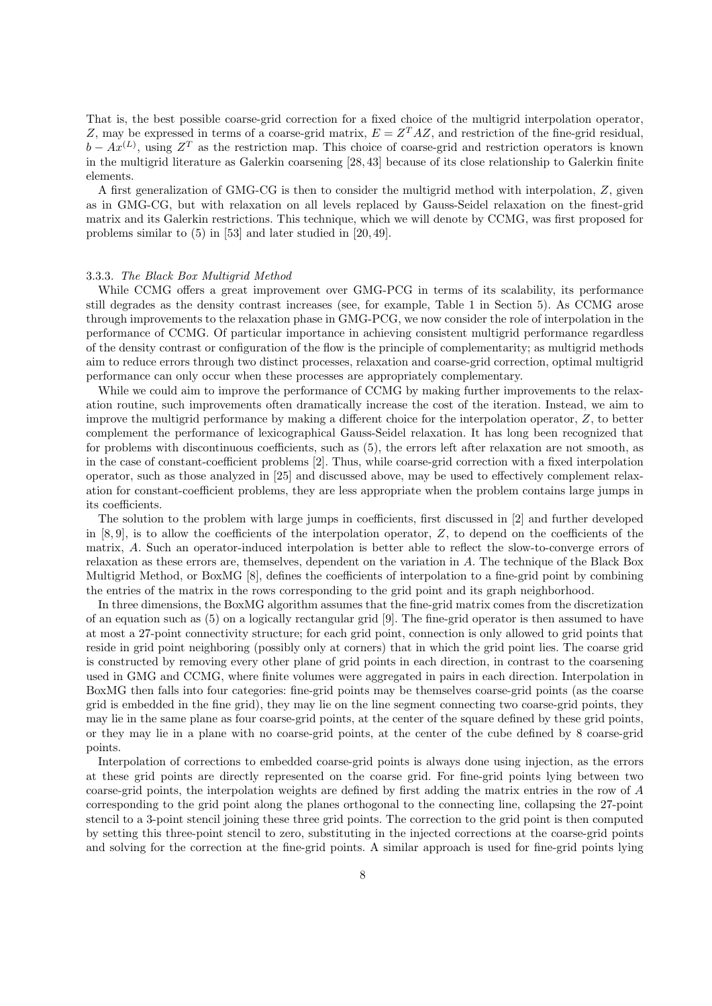That is, the best possible coarse-grid correction for a fixed choice of the multigrid interpolation operator, Z, may be expressed in terms of a coarse-grid matrix,  $E = Z<sup>T</sup> AZ$ , and restriction of the fine-grid residual,  $b - Ax^{(L)}$ , using  $Z<sup>T</sup>$  as the restriction map. This choice of coarse-grid and restriction operators is known in the multigrid literature as Galerkin coarsening [28, 43] because of its close relationship to Galerkin finite elements.

A first generalization of GMG-CG is then to consider the multigrid method with interpolation, Z, given as in GMG-CG, but with relaxation on all levels replaced by Gauss-Seidel relaxation on the finest-grid matrix and its Galerkin restrictions. This technique, which we will denote by CCMG, was first proposed for problems similar to (5) in [53] and later studied in [20, 49].

#### 3.3.3. The Black Box Multigrid Method

While CCMG offers a great improvement over GMG-PCG in terms of its scalability, its performance still degrades as the density contrast increases (see, for example, Table 1 in Section 5). As CCMG arose through improvements to the relaxation phase in GMG-PCG, we now consider the role of interpolation in the performance of CCMG. Of particular importance in achieving consistent multigrid performance regardless of the density contrast or configuration of the flow is the principle of complementarity; as multigrid methods aim to reduce errors through two distinct processes, relaxation and coarse-grid correction, optimal multigrid performance can only occur when these processes are appropriately complementary.

While we could aim to improve the performance of CCMG by making further improvements to the relaxation routine, such improvements often dramatically increase the cost of the iteration. Instead, we aim to improve the multigrid performance by making a different choice for the interpolation operator, Z, to better complement the performance of lexicographical Gauss-Seidel relaxation. It has long been recognized that for problems with discontinuous coefficients, such as (5), the errors left after relaxation are not smooth, as in the case of constant-coefficient problems [2]. Thus, while coarse-grid correction with a fixed interpolation operator, such as those analyzed in [25] and discussed above, may be used to effectively complement relaxation for constant-coefficient problems, they are less appropriate when the problem contains large jumps in its coefficients.

The solution to the problem with large jumps in coefficients, first discussed in [2] and further developed in [8, 9], is to allow the coefficients of the interpolation operator, Z, to depend on the coefficients of the matrix, A. Such an operator-induced interpolation is better able to reflect the slow-to-converge errors of relaxation as these errors are, themselves, dependent on the variation in A. The technique of the Black Box Multigrid Method, or BoxMG [8], defines the coefficients of interpolation to a fine-grid point by combining the entries of the matrix in the rows corresponding to the grid point and its graph neighborhood.

In three dimensions, the BoxMG algorithm assumes that the fine-grid matrix comes from the discretization of an equation such as (5) on a logically rectangular grid [9]. The fine-grid operator is then assumed to have at most a 27-point connectivity structure; for each grid point, connection is only allowed to grid points that reside in grid point neighboring (possibly only at corners) that in which the grid point lies. The coarse grid is constructed by removing every other plane of grid points in each direction, in contrast to the coarsening used in GMG and CCMG, where finite volumes were aggregated in pairs in each direction. Interpolation in BoxMG then falls into four categories: fine-grid points may be themselves coarse-grid points (as the coarse grid is embedded in the fine grid), they may lie on the line segment connecting two coarse-grid points, they may lie in the same plane as four coarse-grid points, at the center of the square defined by these grid points, or they may lie in a plane with no coarse-grid points, at the center of the cube defined by 8 coarse-grid points.

Interpolation of corrections to embedded coarse-grid points is always done using injection, as the errors at these grid points are directly represented on the coarse grid. For fine-grid points lying between two coarse-grid points, the interpolation weights are defined by first adding the matrix entries in the row of A corresponding to the grid point along the planes orthogonal to the connecting line, collapsing the 27-point stencil to a 3-point stencil joining these three grid points. The correction to the grid point is then computed by setting this three-point stencil to zero, substituting in the injected corrections at the coarse-grid points and solving for the correction at the fine-grid points. A similar approach is used for fine-grid points lying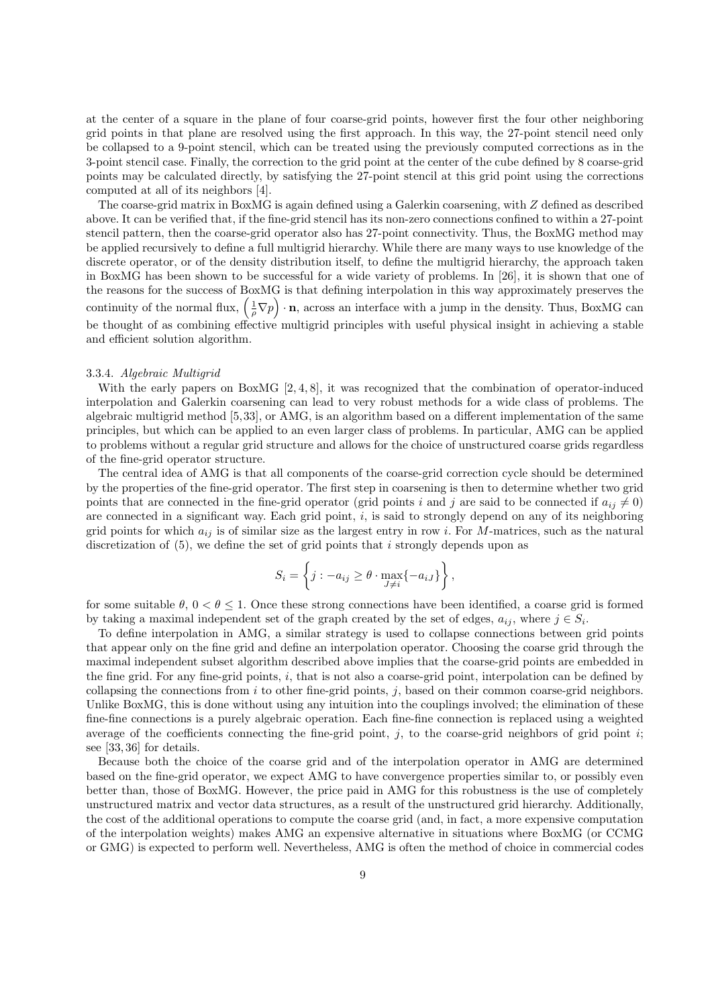at the center of a square in the plane of four coarse-grid points, however first the four other neighboring grid points in that plane are resolved using the first approach. In this way, the 27-point stencil need only be collapsed to a 9-point stencil, which can be treated using the previously computed corrections as in the 3-point stencil case. Finally, the correction to the grid point at the center of the cube defined by 8 coarse-grid points may be calculated directly, by satisfying the 27-point stencil at this grid point using the corrections computed at all of its neighbors [4].

The coarse-grid matrix in BoxMG is again defined using a Galerkin coarsening, with Z defined as described above. It can be verified that, if the fine-grid stencil has its non-zero connections confined to within a 27-point stencil pattern, then the coarse-grid operator also has 27-point connectivity. Thus, the BoxMG method may be applied recursively to define a full multigrid hierarchy. While there are many ways to use knowledge of the discrete operator, or of the density distribution itself, to define the multigrid hierarchy, the approach taken in BoxMG has been shown to be successful for a wide variety of problems. In [26], it is shown that one of the reasons for the success of BoxMG is that defining interpolation in this way approximately preserves the continuity of the normal flux,  $\left(\frac{1}{\rho}\nabla p\right)\cdot\mathbf{n}$ , across an interface with a jump in the density. Thus, BoxMG can be thought of as combining effective multigrid principles with useful physical insight in achieving a stable and efficient solution algorithm.

#### 3.3.4. Algebraic Multigrid

With the early papers on BoxMG [2, 4, 8], it was recognized that the combination of operator-induced interpolation and Galerkin coarsening can lead to very robust methods for a wide class of problems. The algebraic multigrid method [5,33], or AMG, is an algorithm based on a different implementation of the same principles, but which can be applied to an even larger class of problems. In particular, AMG can be applied to problems without a regular grid structure and allows for the choice of unstructured coarse grids regardless of the fine-grid operator structure.

The central idea of AMG is that all components of the coarse-grid correction cycle should be determined by the properties of the fine-grid operator. The first step in coarsening is then to determine whether two grid points that are connected in the fine-grid operator (grid points i and j are said to be connected if  $a_{ij} \neq 0$ ) are connected in a significant way. Each grid point,  $i$ , is said to strongly depend on any of its neighboring grid points for which  $a_{ij}$  is of similar size as the largest entry in row i. For M-matrices, such as the natural discretization of  $(5)$ , we define the set of grid points that i strongly depends upon as

$$
S_i = \left\{ j : -a_{ij} \ge \theta \cdot \max_{J \ne i} \{-a_{iJ}\}\right\},\,
$$

for some suitable  $\theta$ ,  $0 < \theta \leq 1$ . Once these strong connections have been identified, a coarse grid is formed by taking a maximal independent set of the graph created by the set of edges,  $a_{ij}$ , where  $j \in S_i$ .

To define interpolation in AMG, a similar strategy is used to collapse connections between grid points that appear only on the fine grid and define an interpolation operator. Choosing the coarse grid through the maximal independent subset algorithm described above implies that the coarse-grid points are embedded in the fine grid. For any fine-grid points, i, that is not also a coarse-grid point, interpolation can be defined by collapsing the connections from  $i$  to other fine-grid points,  $j$ , based on their common coarse-grid neighbors. Unlike BoxMG, this is done without using any intuition into the couplings involved; the elimination of these fine-fine connections is a purely algebraic operation. Each fine-fine connection is replaced using a weighted average of the coefficients connecting the fine-grid point, j, to the coarse-grid neighbors of grid point i; see [33, 36] for details.

Because both the choice of the coarse grid and of the interpolation operator in AMG are determined based on the fine-grid operator, we expect AMG to have convergence properties similar to, or possibly even better than, those of BoxMG. However, the price paid in AMG for this robustness is the use of completely unstructured matrix and vector data structures, as a result of the unstructured grid hierarchy. Additionally, the cost of the additional operations to compute the coarse grid (and, in fact, a more expensive computation of the interpolation weights) makes AMG an expensive alternative in situations where BoxMG (or CCMG or GMG) is expected to perform well. Nevertheless, AMG is often the method of choice in commercial codes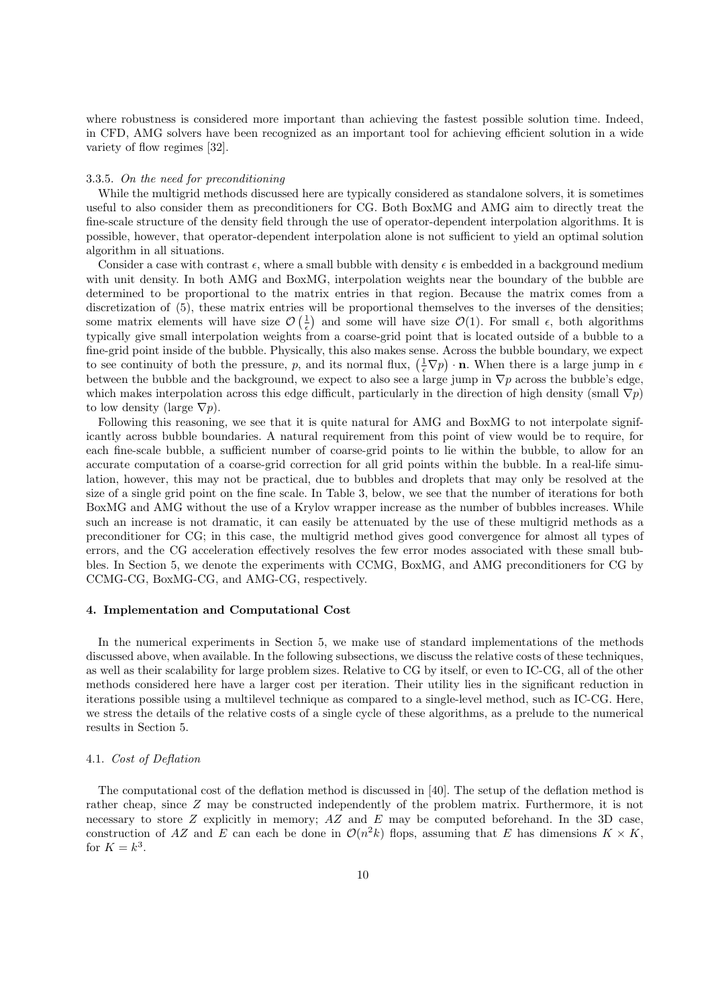where robustness is considered more important than achieving the fastest possible solution time. Indeed, in CFD, AMG solvers have been recognized as an important tool for achieving efficient solution in a wide variety of flow regimes [32].

#### 3.3.5. On the need for preconditioning

While the multigrid methods discussed here are typically considered as standalone solvers, it is sometimes useful to also consider them as preconditioners for CG. Both BoxMG and AMG aim to directly treat the fine-scale structure of the density field through the use of operator-dependent interpolation algorithms. It is possible, however, that operator-dependent interpolation alone is not sufficient to yield an optimal solution algorithm in all situations.

Consider a case with contrast  $\epsilon$ , where a small bubble with density  $\epsilon$  is embedded in a background medium with unit density. In both AMG and BoxMG, interpolation weights near the boundary of the bubble are determined to be proportional to the matrix entries in that region. Because the matrix comes from a discretization of (5), these matrix entries will be proportional themselves to the inverses of the densities; some matrix elements will have size  $\mathcal{O}\left(\frac{1}{\epsilon}\right)$  and some will have size  $\mathcal{O}(1)$ . For small  $\epsilon$ , both algorithms typically give small interpolation weights from a coarse-grid point that is located outside of a bubble to a fine-grid point inside of the bubble. Physically, this also makes sense. Across the bubble boundary, we expect to see continuity of both the pressure, p, and its normal flux,  $(\frac{1}{\epsilon}\nabla p) \cdot \mathbf{n}$ . When there is a large jump in  $\epsilon$ between the bubble and the background, we expect to also see a large jump in  $\nabla p$  across the bubble's edge, which makes interpolation across this edge difficult, particularly in the direction of high density (small  $\nabla p$ ) to low density (large  $\nabla p$ ).

Following this reasoning, we see that it is quite natural for AMG and BoxMG to not interpolate significantly across bubble boundaries. A natural requirement from this point of view would be to require, for each fine-scale bubble, a sufficient number of coarse-grid points to lie within the bubble, to allow for an accurate computation of a coarse-grid correction for all grid points within the bubble. In a real-life simulation, however, this may not be practical, due to bubbles and droplets that may only be resolved at the size of a single grid point on the fine scale. In Table 3, below, we see that the number of iterations for both BoxMG and AMG without the use of a Krylov wrapper increase as the number of bubbles increases. While such an increase is not dramatic, it can easily be attenuated by the use of these multigrid methods as a preconditioner for CG; in this case, the multigrid method gives good convergence for almost all types of errors, and the CG acceleration effectively resolves the few error modes associated with these small bubbles. In Section 5, we denote the experiments with CCMG, BoxMG, and AMG preconditioners for CG by CCMG-CG, BoxMG-CG, and AMG-CG, respectively.

### 4. Implementation and Computational Cost

In the numerical experiments in Section 5, we make use of standard implementations of the methods discussed above, when available. In the following subsections, we discuss the relative costs of these techniques, as well as their scalability for large problem sizes. Relative to CG by itself, or even to IC-CG, all of the other methods considered here have a larger cost per iteration. Their utility lies in the significant reduction in iterations possible using a multilevel technique as compared to a single-level method, such as IC-CG. Here, we stress the details of the relative costs of a single cycle of these algorithms, as a prelude to the numerical results in Section 5.

#### 4.1. Cost of Deflation

The computational cost of the deflation method is discussed in [40]. The setup of the deflation method is rather cheap, since Z may be constructed independently of the problem matrix. Furthermore, it is not necessary to store  $Z$  explicitly in memory;  $AZ$  and  $E$  may be computed beforehand. In the 3D case, construction of AZ and E can each be done in  $\mathcal{O}(n^2k)$  flops, assuming that E has dimensions  $K \times K$ , for  $K = k^3$ .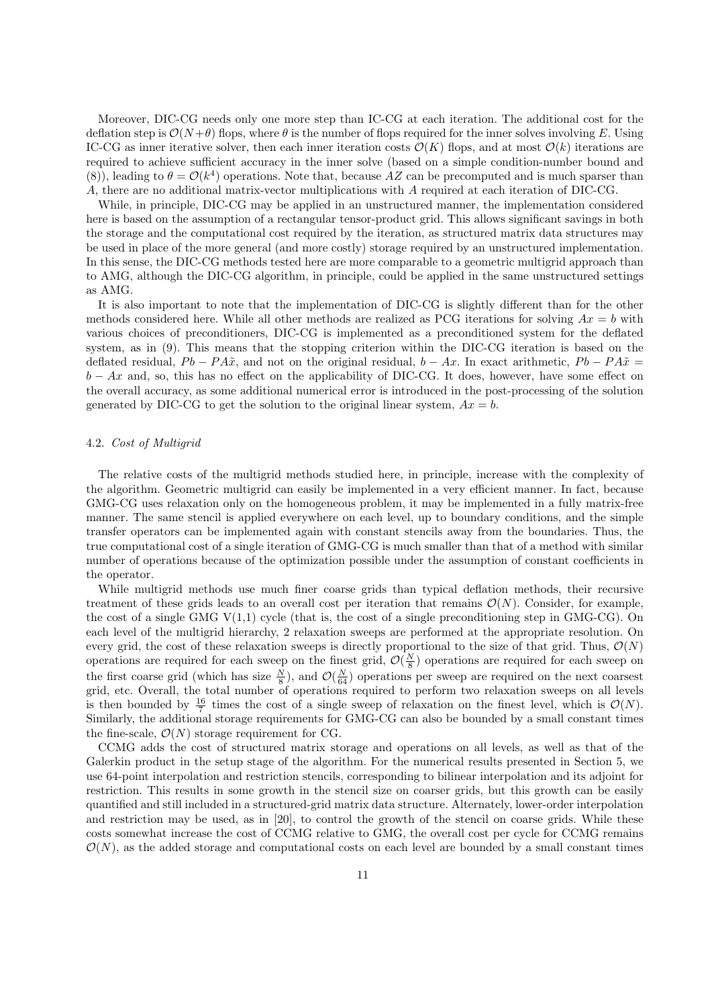Moreover, DIC-CG needs only one more step than IC-CG at each iteration. The additional cost for the deflation step is  $\mathcal{O}(N+\theta)$  flops, where  $\theta$  is the number of flops required for the inner solves involving E. Using IC-CG as inner iterative solver, then each inner iteration costs  $\mathcal{O}(K)$  flops, and at most  $\mathcal{O}(k)$  iterations are required to achieve sufficient accuracy in the inner solve (based on a simple condition-number bound and (8)), leading to  $\theta = \mathcal{O}(k^4)$  operations. Note that, because AZ can be precomputed and is much sparser than A, there are no additional matrix-vector multiplications with A required at each iteration of DIC-CG.

While, in principle, DIC-CG may be applied in an unstructured manner, the implementation considered here is based on the assumption of a rectangular tensor-product grid. This allows significant savings in both the storage and the computational cost required by the iteration, as structured matrix data structures may be used in place of the more general (and more costly) storage required by an unstructured implementation. In this sense, the DIC-CG methods tested here are more comparable to a geometric multigrid approach than to AMG, although the DIC-CG algorithm, in principle, could be applied in the same unstructured settings as AMG.

It is also important to note that the implementation of DIC-CG is slightly different than for the other methods considered here. While all other methods are realized as PCG iterations for solving  $Ax = b$  with various choices of preconditioners, DIC-CG is implemented as a preconditioned system for the deflated system, as in (9). This means that the stopping criterion within the DIC-CG iteration is based on the deflated residual,  $Pb - PA\tilde{x}$ , and not on the original residual,  $b - Ax$ . In exact arithmetic,  $Pb - PA\tilde{x} =$  $b - Ax$  and, so, this has no effect on the applicability of DIC-CG. It does, however, have some effect on the overall accuracy, as some additional numerical error is introduced in the post-processing of the solution generated by DIC-CG to get the solution to the original linear system,  $Ax = b$ .

#### 4.2. Cost of Multigrid

The relative costs of the multigrid methods studied here, in principle, increase with the complexity of the algorithm. Geometric multigrid can easily be implemented in a very efficient manner. In fact, because GMG-CG uses relaxation only on the homogeneous problem, it may be implemented in a fully matrix-free manner. The same stencil is applied everywhere on each level, up to boundary conditions, and the simple transfer operators can be implemented again with constant stencils away from the boundaries. Thus, the true computational cost of a single iteration of GMG-CG is much smaller than that of a method with similar number of operations because of the optimization possible under the assumption of constant coefficients in the operator.

While multigrid methods use much finer coarse grids than typical deflation methods, their recursive treatment of these grids leads to an overall cost per iteration that remains  $\mathcal{O}(N)$ . Consider, for example, the cost of a single GMG  $V(1,1)$  cycle (that is, the cost of a single preconditioning step in GMG-CG). On each level of the multigrid hierarchy, 2 relaxation sweeps are performed at the appropriate resolution. On every grid, the cost of these relaxation sweeps is directly proportional to the size of that grid. Thus,  $\mathcal{O}(N)$ operations are required for each sweep on the finest grid,  $\mathcal{O}(\frac{N}{8})$  operations are required for each sweep on the first coarse grid (which has size  $\frac{N}{8}$ ), and  $\mathcal{O}(\frac{N}{64})$  operations per sweep are required on the next coarsest grid, etc. Overall, the total number of operations required to perform two relaxation sweeps on all levels is then bounded by  $\frac{16}{7}$  times the cost of a single sweep of relaxation on the finest level, which is  $\mathcal{O}(N)$ . Similarly, the additional storage requirements for GMG-CG can also be bounded by a small constant times the fine-scale,  $\mathcal{O}(N)$  storage requirement for CG.

CCMG adds the cost of structured matrix storage and operations on all levels, as well as that of the Galerkin product in the setup stage of the algorithm. For the numerical results presented in Section 5, we use 64-point interpolation and restriction stencils, corresponding to bilinear interpolation and its adjoint for restriction. This results in some growth in the stencil size on coarser grids, but this growth can be easily quantified and still included in a structured-grid matrix data structure. Alternately, lower-order interpolation and restriction may be used, as in [20], to control the growth of the stencil on coarse grids. While these costs somewhat increase the cost of CCMG relative to GMG, the overall cost per cycle for CCMG remains  $\mathcal{O}(N)$ , as the added storage and computational costs on each level are bounded by a small constant times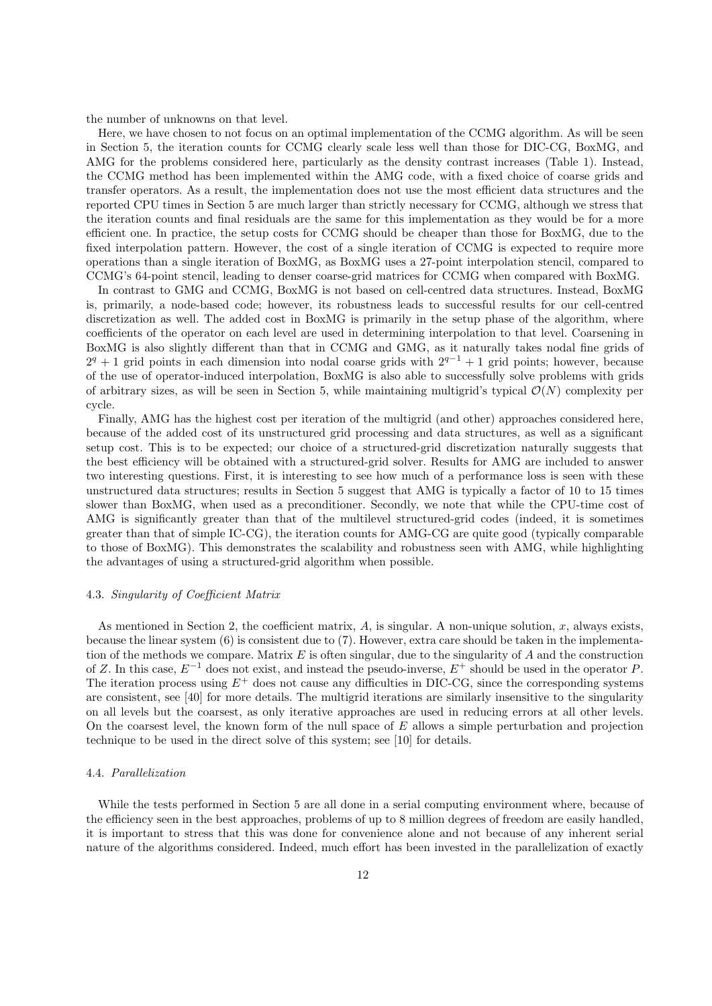the number of unknowns on that level.

Here, we have chosen to not focus on an optimal implementation of the CCMG algorithm. As will be seen in Section 5, the iteration counts for CCMG clearly scale less well than those for DIC-CG, BoxMG, and AMG for the problems considered here, particularly as the density contrast increases (Table 1). Instead, the CCMG method has been implemented within the AMG code, with a fixed choice of coarse grids and transfer operators. As a result, the implementation does not use the most efficient data structures and the reported CPU times in Section 5 are much larger than strictly necessary for CCMG, although we stress that the iteration counts and final residuals are the same for this implementation as they would be for a more efficient one. In practice, the setup costs for CCMG should be cheaper than those for BoxMG, due to the fixed interpolation pattern. However, the cost of a single iteration of CCMG is expected to require more operations than a single iteration of BoxMG, as BoxMG uses a 27-point interpolation stencil, compared to CCMG's 64-point stencil, leading to denser coarse-grid matrices for CCMG when compared with BoxMG.

In contrast to GMG and CCMG, BoxMG is not based on cell-centred data structures. Instead, BoxMG is, primarily, a node-based code; however, its robustness leads to successful results for our cell-centred discretization as well. The added cost in BoxMG is primarily in the setup phase of the algorithm, where coefficients of the operator on each level are used in determining interpolation to that level. Coarsening in BoxMG is also slightly different than that in CCMG and GMG, as it naturally takes nodal fine grids of  $2<sup>q</sup> + 1$  grid points in each dimension into nodal coarse grids with  $2<sup>q-1</sup> + 1$  grid points; however, because of the use of operator-induced interpolation, BoxMG is also able to successfully solve problems with grids of arbitrary sizes, as will be seen in Section 5, while maintaining multigrid's typical  $\mathcal{O}(N)$  complexity per cycle.

Finally, AMG has the highest cost per iteration of the multigrid (and other) approaches considered here, because of the added cost of its unstructured grid processing and data structures, as well as a significant setup cost. This is to be expected; our choice of a structured-grid discretization naturally suggests that the best efficiency will be obtained with a structured-grid solver. Results for AMG are included to answer two interesting questions. First, it is interesting to see how much of a performance loss is seen with these unstructured data structures; results in Section 5 suggest that AMG is typically a factor of 10 to 15 times slower than BoxMG, when used as a preconditioner. Secondly, we note that while the CPU-time cost of AMG is significantly greater than that of the multilevel structured-grid codes (indeed, it is sometimes greater than that of simple IC-CG), the iteration counts for AMG-CG are quite good (typically comparable to those of BoxMG). This demonstrates the scalability and robustness seen with AMG, while highlighting the advantages of using a structured-grid algorithm when possible.

### 4.3. Singularity of Coefficient Matrix

As mentioned in Section 2, the coefficient matrix,  $A$ , is singular. A non-unique solution,  $x$ , always exists, because the linear system (6) is consistent due to (7). However, extra care should be taken in the implementation of the methods we compare. Matrix  $E$  is often singular, due to the singularity of  $A$  and the construction of Z. In this case,  $E^{-1}$  does not exist, and instead the pseudo-inverse,  $E^{+}$  should be used in the operator P. The iteration process using  $E^+$  does not cause any difficulties in DIC-CG, since the corresponding systems are consistent, see [40] for more details. The multigrid iterations are similarly insensitive to the singularity on all levels but the coarsest, as only iterative approaches are used in reducing errors at all other levels. On the coarsest level, the known form of the null space of E allows a simple perturbation and projection technique to be used in the direct solve of this system; see [10] for details.

#### 4.4. Parallelization

While the tests performed in Section 5 are all done in a serial computing environment where, because of the efficiency seen in the best approaches, problems of up to 8 million degrees of freedom are easily handled, it is important to stress that this was done for convenience alone and not because of any inherent serial nature of the algorithms considered. Indeed, much effort has been invested in the parallelization of exactly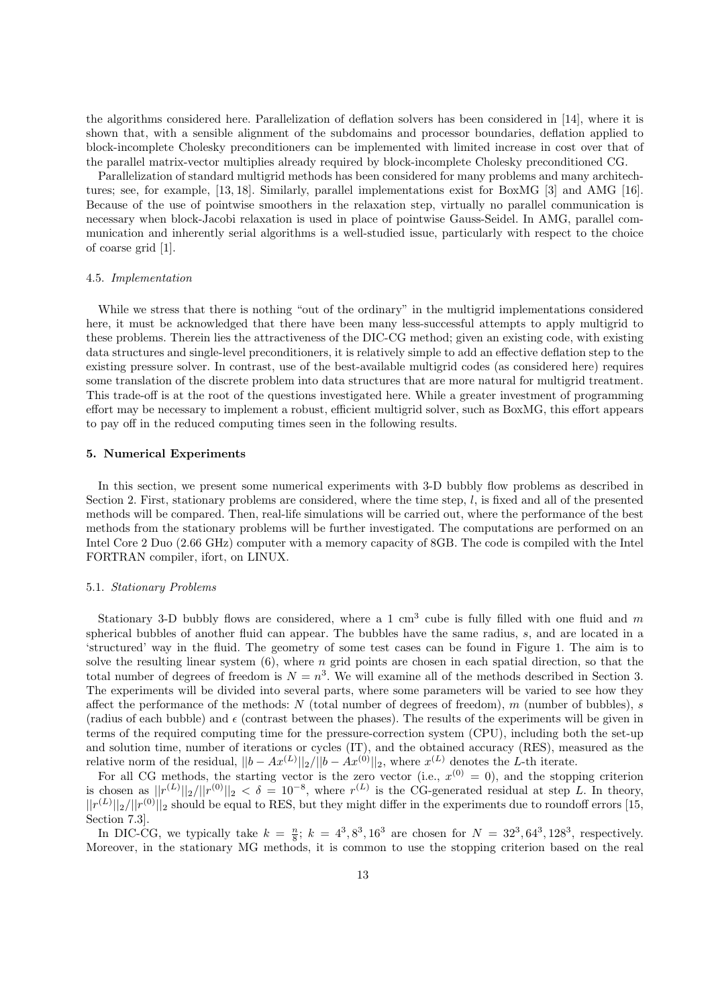the algorithms considered here. Parallelization of deflation solvers has been considered in [14], where it is shown that, with a sensible alignment of the subdomains and processor boundaries, deflation applied to block-incomplete Cholesky preconditioners can be implemented with limited increase in cost over that of the parallel matrix-vector multiplies already required by block-incomplete Cholesky preconditioned CG.

Parallelization of standard multigrid methods has been considered for many problems and many architechtures; see, for example, [13, 18]. Similarly, parallel implementations exist for BoxMG [3] and AMG [16]. Because of the use of pointwise smoothers in the relaxation step, virtually no parallel communication is necessary when block-Jacobi relaxation is used in place of pointwise Gauss-Seidel. In AMG, parallel communication and inherently serial algorithms is a well-studied issue, particularly with respect to the choice of coarse grid [1].

#### 4.5. Implementation

While we stress that there is nothing "out of the ordinary" in the multigrid implementations considered here, it must be acknowledged that there have been many less-successful attempts to apply multigrid to these problems. Therein lies the attractiveness of the DIC-CG method; given an existing code, with existing data structures and single-level preconditioners, it is relatively simple to add an effective deflation step to the existing pressure solver. In contrast, use of the best-available multigrid codes (as considered here) requires some translation of the discrete problem into data structures that are more natural for multigrid treatment. This trade-off is at the root of the questions investigated here. While a greater investment of programming effort may be necessary to implement a robust, efficient multigrid solver, such as BoxMG, this effort appears to pay off in the reduced computing times seen in the following results.

#### 5. Numerical Experiments

In this section, we present some numerical experiments with 3-D bubbly flow problems as described in Section 2. First, stationary problems are considered, where the time step,  $l$ , is fixed and all of the presented methods will be compared. Then, real-life simulations will be carried out, where the performance of the best methods from the stationary problems will be further investigated. The computations are performed on an Intel Core 2 Duo (2.66 GHz) computer with a memory capacity of 8GB. The code is compiled with the Intel FORTRAN compiler, ifort, on LINUX.

#### 5.1. Stationary Problems

Stationary 3-D bubbly flows are considered, where a 1  $\text{cm}^3$  cube is fully filled with one fluid and m spherical bubbles of another fluid can appear. The bubbles have the same radius, s, and are located in a 'structured' way in the fluid. The geometry of some test cases can be found in Figure 1. The aim is to solve the resulting linear system  $(6)$ , where n grid points are chosen in each spatial direction, so that the total number of degrees of freedom is  $N = n^3$ . We will examine all of the methods described in Section 3. The experiments will be divided into several parts, where some parameters will be varied to see how they affect the performance of the methods:  $N$  (total number of degrees of freedom),  $m$  (number of bubbles),  $s$ (radius of each bubble) and  $\epsilon$  (contrast between the phases). The results of the experiments will be given in terms of the required computing time for the pressure-correction system (CPU), including both the set-up and solution time, number of iterations or cycles (IT), and the obtained accuracy (RES), measured as the relative norm of the residual,  $||b - Ax^{(L)}||_2/||b - Ax^{(0)}||_2$ , where  $x^{(L)}$  denotes the L-th iterate.

For all CG methods, the starting vector is the zero vector (i.e.,  $x^{(0)} = 0$ ), and the stopping criterion is chosen as  $||r^{(L)}||_2/||r^{(0)}||_2 < \delta = 10^{-8}$ , where  $r^{(L)}$  is the CG-generated residual at step L. In theory,  $||r^{(L)}||_2/||r^{(0)}||_2$  should be equal to RES, but they might differ in the experiments due to roundoff errors [15, Section 7.3].

In DIC-CG, we typically take  $k = \frac{n}{8}$ ;  $k = 4^3, 8^3, 16^3$  are chosen for  $N = 32^3, 64^3, 128^3$ , respectively. Moreover, in the stationary MG methods, it is common to use the stopping criterion based on the real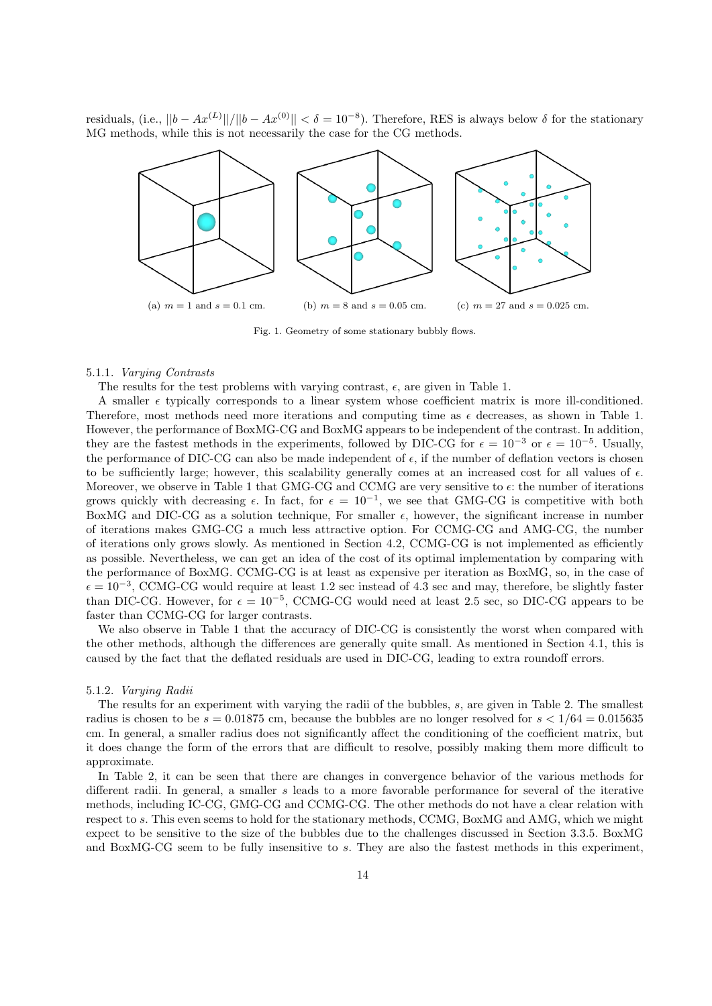residuals, (i.e.,  $||b - Ax^{(L)}||/||b - Ax^{(0)}|| < \delta = 10^{-8}$ ). Therefore, RES is always below  $\delta$  for the stationary MG methods, while this is not necessarily the case for the CG methods.



Fig. 1. Geometry of some stationary bubbly flows.

#### 5.1.1. Varying Contrasts

The results for the test problems with varying contrast,  $\epsilon$ , are given in Table 1.

A smaller  $\epsilon$  typically corresponds to a linear system whose coefficient matrix is more ill-conditioned. Therefore, most methods need more iterations and computing time as  $\epsilon$  decreases, as shown in Table 1. However, the performance of BoxMG-CG and BoxMG appears to be independent of the contrast. In addition, they are the fastest methods in the experiments, followed by DIC-CG for  $\epsilon = 10^{-3}$  or  $\epsilon = 10^{-5}$ . Usually, the performance of DIC-CG can also be made independent of  $\epsilon$ , if the number of deflation vectors is chosen to be sufficiently large; however, this scalability generally comes at an increased cost for all values of  $\epsilon$ . Moreover, we observe in Table 1 that GMG-CG and CCMG are very sensitive to  $\epsilon$ : the number of iterations grows quickly with decreasing  $\epsilon$ . In fact, for  $\epsilon = 10^{-1}$ , we see that GMG-CG is competitive with both BoxMG and DIC-CG as a solution technique, For smaller  $\epsilon$ , however, the significant increase in number of iterations makes GMG-CG a much less attractive option. For CCMG-CG and AMG-CG, the number of iterations only grows slowly. As mentioned in Section 4.2, CCMG-CG is not implemented as efficiently as possible. Nevertheless, we can get an idea of the cost of its optimal implementation by comparing with the performance of BoxMG. CCMG-CG is at least as expensive per iteration as BoxMG, so, in the case of  $\epsilon = 10^{-3}$ , CCMG-CG would require at least 1.2 sec instead of 4.3 sec and may, therefore, be slightly faster than DIC-CG. However, for  $\epsilon = 10^{-5}$ , CCMG-CG would need at least 2.5 sec, so DIC-CG appears to be faster than CCMG-CG for larger contrasts.

We also observe in Table 1 that the accuracy of DIC-CG is consistently the worst when compared with the other methods, although the differences are generally quite small. As mentioned in Section 4.1, this is caused by the fact that the deflated residuals are used in DIC-CG, leading to extra roundoff errors.

#### 5.1.2. Varying Radii

The results for an experiment with varying the radii of the bubbles, s, are given in Table 2. The smallest radius is chosen to be  $s = 0.01875$  cm, because the bubbles are no longer resolved for  $s < 1/64 = 0.015635$ cm. In general, a smaller radius does not significantly affect the conditioning of the coefficient matrix, but it does change the form of the errors that are difficult to resolve, possibly making them more difficult to approximate.

In Table 2, it can be seen that there are changes in convergence behavior of the various methods for different radii. In general, a smaller s leads to a more favorable performance for several of the iterative methods, including IC-CG, GMG-CG and CCMG-CG. The other methods do not have a clear relation with respect to s. This even seems to hold for the stationary methods, CCMG, BoxMG and AMG, which we might expect to be sensitive to the size of the bubbles due to the challenges discussed in Section 3.3.5. BoxMG and BoxMG-CG seem to be fully insensitive to s. They are also the fastest methods in this experiment.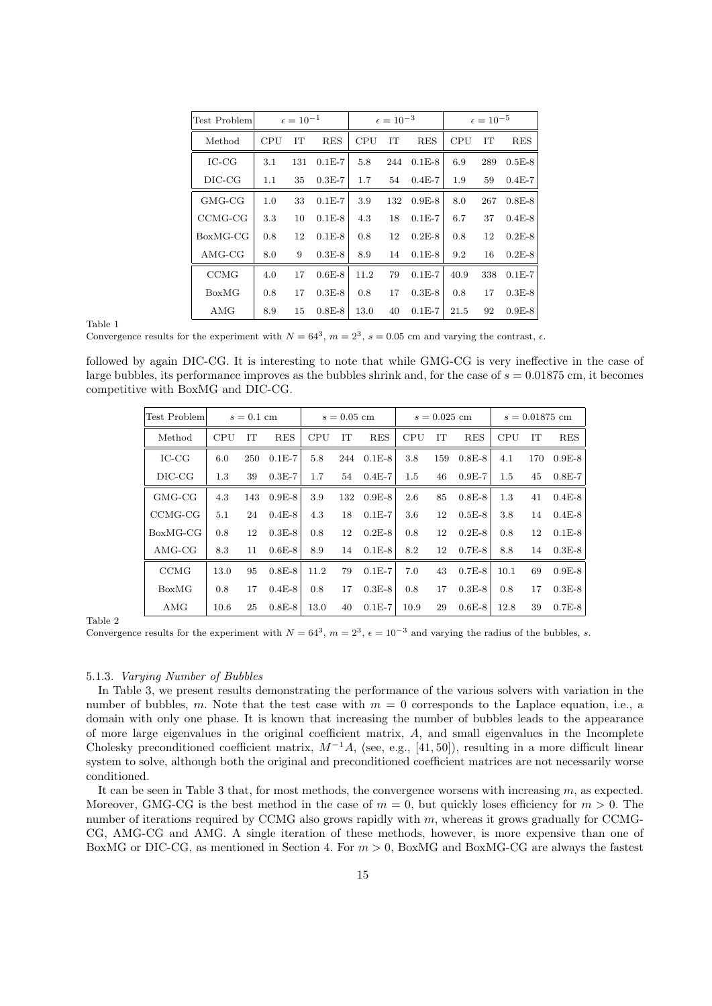| Test Problem |            | $\epsilon = 10^{-1}$ |            |      | $\epsilon = 10^{-3}$ |            |      | $\epsilon = 10^{-5}$ |            |
|--------------|------------|----------------------|------------|------|----------------------|------------|------|----------------------|------------|
| Method       | <b>CPU</b> | IТ                   | <b>RES</b> | CPU  | IТ                   | <b>RES</b> | CPU  | IТ                   | RES        |
| $IC-CG$      | 3.1        | 131                  | $0.1E-7$   | 5.8  | 244                  | $0.1E-8$   | 6.9  | 289                  | $0.5E-8$   |
| DIC-CG       | 1.1        | 35                   | $0.3E-7$   | 1.7  | 54                   | $0.4E-7$   | 1.9  | 59                   | $0.4E-7$   |
| $GMG-CG$     | 1.0        | 33                   | $0.1E-7$   | 3.9  | 132                  | $0.9E-8$   | 8.0  | 267                  | $0.8E - 8$ |
| $CCMG-CG$    | 3.3        | 10                   | $0.1E-8$   | 4.3  | 18                   | $0.1E-7$   | 6.7  | 37                   | $0.4E-8$   |
| $BoxMG-CG$   | 0.8        | 12                   | $0.1E-8$   | 0.8  | 12                   | $0.2E-8$   | 0.8  | 12                   | $0.2E-8$   |
| $AMG-CG$     | 8.0        | 9                    | $0.3E-8$   | 8.9  | 14                   | $0.1E-8$   | 9.2  | 16                   | $0.2E-8$   |
| CCMG         | 4.0        | 17                   | $0.6E - 8$ | 11.2 | 79                   | $0.1E-7$   | 40.9 | 338                  | $0.1E-7$   |
| BoxMG        | 0.8        | 17                   | $0.3E-8$   | 0.8  | 17                   | $0.3E-8$   | 0.8  | 17                   | $0.3E-8$   |
| AMG          | 8.9        | 15                   | $0.8E - 8$ | 13.0 | 40                   | $0.1E-7$   | 21.5 | 92                   | $0.9E-8$   |

Table 1

Convergence results for the experiment with  $N = 64^3$ ,  $m = 2^3$ ,  $s = 0.05$  cm and varying the contrast,  $\epsilon$ .

followed by again DIC-CG. It is interesting to note that while GMG-CG is very ineffective in the case of large bubbles, its performance improves as the bubbles shrink and, for the case of  $s = 0.01875$  cm, it becomes competitive with BoxMG and DIC-CG.

| Test Problem | $s=0.1$ cm |     |            | $s = 0.05$ cm |     | $s = 0.025$ cm |            |     | $s = 0.01875$ cm |            |     |            |
|--------------|------------|-----|------------|---------------|-----|----------------|------------|-----|------------------|------------|-----|------------|
| Method       | CPU        | IT  | <b>RES</b> | <b>CPU</b>    | IT  | <b>RES</b>     | <b>CPU</b> | IΤ  | <b>RES</b>       | <b>CPU</b> | IT  | <b>RES</b> |
| $IC-CG$      | 6.0        | 250 | $0.1E-7$   | 5.8           | 244 | $0.1E-8$       | 3.8        | 159 | $0.8E - 8$       | 4.1        | 170 | $0.9E-8$   |
| $DIC-CG$     | 1.3        | 39  | $0.3E-7$   | 1.7           | 54  | $0.4E-7$       | $1.5\,$    | 46  | $0.9E-7$         | 1.5        | 45  | $0.8E-7$   |
| $GMG-CG$     | 4.3        | 143 | $0.9E-8$   | 3.9           | 132 | $0.9E-8$       | 2.6        | 85  | $0.8E - 8$       | 1.3        | 41  | $0.4E-8$   |
| CCMG-CG      | 5.1        | 24  | $0.4E - 8$ | 4.3           | 18  | $0.1E-7$       | 3.6        | 12  | $0.5E-8$         | 3.8        | 14  | $0.4E-8$   |
| $BoxMG-CG$   | 0.8        | 12  | $0.3E-8$   | 0.8           | 12  | $0.2E-8$       | 0.8        | 12  | $0.2E-8$         | 0.8        | 12  | $0.1E-8$   |
| $AMG-CG$     | 8.3        | 11  | $0.6E - 8$ | 8.9           | 14  | $0.1E-8$       | 8.2        | 12  | $0.7E-8$         | 8.8        | 14  | $0.3E-8$   |
| CCMG         | 13.0       | 95  | $0.8E - 8$ | 11.2          | 79  | $0.1E-7$       | 7.0        | 43  | $0.7E-8$         | 10.1       | 69  | $0.9E-8$   |
| BoxMG        | 0.8        | 17  | $0.4E-8$   | 0.8           | 17  | $0.3E-8$       | 0.8        | 17  | $0.3E-8$         | 0.8        | 17  | $0.3E-8$   |
| AMG          | 10.6       | 25  | $0.8E - 8$ | 13.0          | 40  | $0.1E-7$       | 10.9       | 29  | $0.6E-8$         | 12.8       | 39  | $0.7E-8$   |

Table 2

Convergence results for the experiment with  $N = 64^3$ ,  $m = 2^3$ ,  $\epsilon = 10^{-3}$  and varying the radius of the bubbles, s.

#### 5.1.3. Varying Number of Bubbles

In Table 3, we present results demonstrating the performance of the various solvers with variation in the number of bubbles, m. Note that the test case with  $m = 0$  corresponds to the Laplace equation, i.e., a domain with only one phase. It is known that increasing the number of bubbles leads to the appearance of more large eigenvalues in the original coefficient matrix, A, and small eigenvalues in the Incomplete Cholesky preconditioned coefficient matrix,  $M^{-1}A$ , (see, e.g., [41, 50]), resulting in a more difficult linear system to solve, although both the original and preconditioned coefficient matrices are not necessarily worse conditioned.

It can be seen in Table 3 that, for most methods, the convergence worsens with increasing m, as expected. Moreover, GMG-CG is the best method in the case of  $m = 0$ , but quickly loses efficiency for  $m > 0$ . The number of iterations required by CCMG also grows rapidly with m, whereas it grows gradually for CCMG-CG, AMG-CG and AMG. A single iteration of these methods, however, is more expensive than one of BoxMG or DIC-CG, as mentioned in Section 4. For  $m > 0$ , BoxMG and BoxMG-CG are always the fastest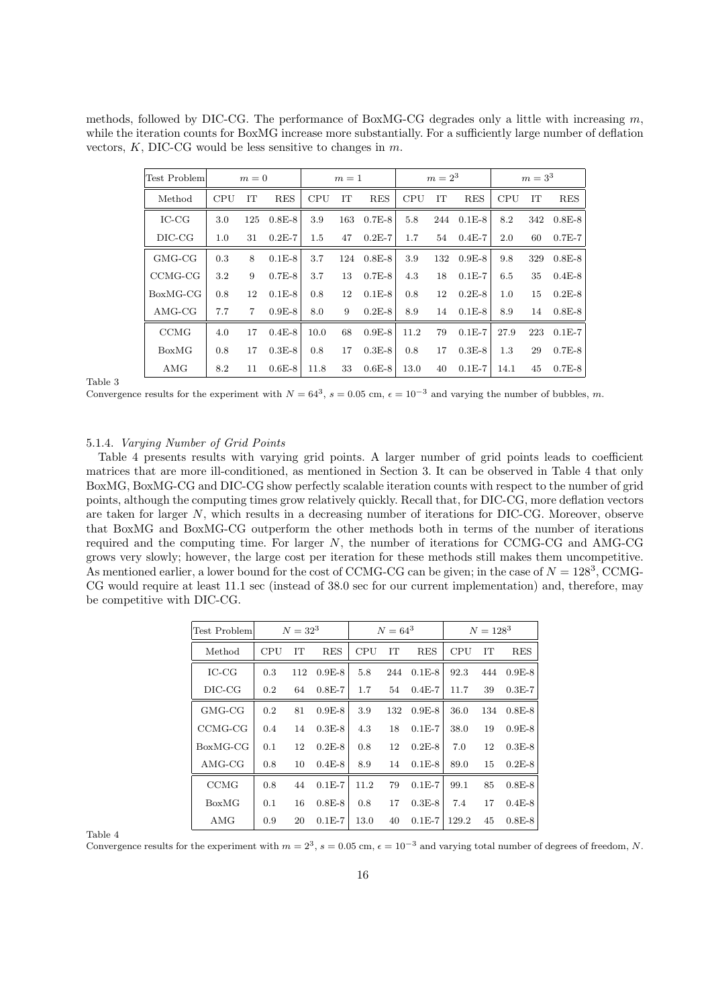| Test Problem    | $m=0$   |     | $m=1$      |            |     | $m=2^3$    |               |     | $m=33$     |            |     |            |
|-----------------|---------|-----|------------|------------|-----|------------|---------------|-----|------------|------------|-----|------------|
| Method          | CPU     | IT  | <b>RES</b> | <b>CPU</b> | IT  | <b>RES</b> | <b>CPU</b>    | IT  | <b>RES</b> | <b>CPU</b> | IT  | <b>RES</b> |
| $IC-CG$         | 3.0     | 125 | $0.8E - 8$ | 3.9        | 163 | $0.7E-8$   | 5.8           | 244 | $0.1E-8$   | 8.2        | 342 | $0.8E - 8$ |
| $_{\rm DIC-CG}$ | $1.0\,$ | 31  | $0.2E-7$   | $1.5\,$    | 47  | $0.2E-7$   | $1.7^{\circ}$ | 54  | $0.4E-7$   | 2.0        | 60  | $0.7E-7$   |
| $GMG-CG$        | 0.3     | 8   | $0.1E-8$   | 3.7        | 124 | $0.8E - 8$ | 3.9           | 132 | $0.9E-8$   | 9.8        | 329 | $0.8E - 8$ |
| $CCMG-CG$       | 3.2     | 9   | $0.7E-8$   | 3.7        | 13  | $0.7E-8$   | 4.3           | 18  | $0.1E-7$   | 6.5        | 35  | $0.4E-8$   |
| $BoxMG-CG$      | 0.8     | 12  | $0.1E-8$   | 0.8        | 12  | $0.1E-8$   | 0.8           | 12  | $0.2E-8$   | 1.0        | 15  | $0.2E-8$   |
| $AMG-CG$        | 7.7     | 7   | $0.9E-8$   | 8.0        | 9   | $0.2E-8$   | 8.9           | 14  | $0.1E-8$   | 8.9        | 14  | $0.8E-8$   |
| CCMG            | 4.0     | 17  | $0.4E - 8$ | 10.0       | 68  | $0.9E-8$   | 11.2          | 79  | $0.1E-7$   | 27.9       | 223 | $0.1E-7$   |
| BoxMG           | 0.8     | 17  | $0.3E-8$   | 0.8        | 17  | $0.3E-8$   | 0.8           | 17  | $0.3E-8$   | 1.3        | 29  | $0.7E-8$   |
| AMG             | 8.2     | 11  | $0.6E-8$   | 11.8       | 33  | $0.6E-8$   | 13.0          | 40  | $0.1E-7$   | 14.1       | 45  | $0.7E-8$   |

methods, followed by DIC-CG. The performance of BoxMG-CG degrades only a little with increasing  $m$ , while the iteration counts for BoxMG increase more substantially. For a sufficiently large number of deflation vectors,  $K$ , DIC-CG would be less sensitive to changes in  $m$ .

Table 3

Convergence results for the experiment with  $N = 64^3$ ,  $s = 0.05$  cm,  $\epsilon = 10^{-3}$  and varying the number of bubbles, m.

## 5.1.4. Varying Number of Grid Points

Table 4 presents results with varying grid points. A larger number of grid points leads to coefficient matrices that are more ill-conditioned, as mentioned in Section 3. It can be observed in Table 4 that only BoxMG, BoxMG-CG and DIC-CG show perfectly scalable iteration counts with respect to the number of grid points, although the computing times grow relatively quickly. Recall that, for DIC-CG, more deflation vectors are taken for larger N, which results in a decreasing number of iterations for DIC-CG. Moreover, observe that BoxMG and BoxMG-CG outperform the other methods both in terms of the number of iterations required and the computing time. For larger N, the number of iterations for CCMG-CG and AMG-CG grows very slowly; however, the large cost per iteration for these methods still makes them uncompetitive. As mentioned earlier, a lower bound for the cost of CCMG-CG can be given; in the case of  $N = 128^3$ , CCMG-CG would require at least 11.1 sec (instead of 38.0 sec for our current implementation) and, therefore, may be competitive with DIC-CG.

| Test Problem    |     | $N = 32^3$ |            | $N = 64^3$ |     | $N = 128^3$ |       |     |            |
|-----------------|-----|------------|------------|------------|-----|-------------|-------|-----|------------|
| Method          | CPU | IТ         | <b>RES</b> | CPU        | IТ  | <b>RES</b>  | CPU   | IТ  | <b>RES</b> |
| $IC-CG$         | 0.3 | 112        | $0.9E-8$   | 5.8        | 244 | $0.1E-8$    | 92.3  | 444 | $0.9E-8$   |
| $_{\rm DIC-CG}$ | 0.2 | 64         | $0.8E-7$   | 1.7        | 54  | $0.4E-7$    | 11.7  | 39  | $0.3E-7$   |
| $GMG-CG$        | 0.2 | 81         | $0.9E-8$   | 3.9        | 132 | $0.9E-8$    | 36.0  | 134 | $0.8E - 8$ |
| CCMG-CG         | 0.4 | 14         | $0.3E-8$   | 4.3        | 18  | $0.1E-7$    | 38.0  | 19  | $0.9E-8$   |
| $BoxMG-CG$      | 0.1 | 12         | $0.2E-8$   | 0.8        | 12  | $0.2E-8$    | 7.0   | 12  | $0.3E-8$   |
| $AMG-CG$        | 0.8 | 10         | $0.4E - 8$ | 8.9        | 14  | $0.1E-8$    | 89.0  | 15  | $0.2E-8$   |
| CCMG            | 0.8 | 44         | $0.1E-7$   | 11.2       | 79  | $0.1E-7$    | 99.1  | 85  | $0.8E - 8$ |
| BoxMG           | 0.1 | 16         | $0.8E - 8$ | 0.8        | 17  | $0.3E-8$    | 7.4   | 17  | $0.4E - 8$ |
| AMG             | 0.9 | 20         | $0.1E-7$   | 13.0       | 40  | $0.1E-7$    | 129.2 | 45  | $0.8E - 8$ |

Table 4

Convergence results for the experiment with  $m = 2^3$ ,  $s = 0.05$  cm,  $\epsilon = 10^{-3}$  and varying total number of degrees of freedom, N.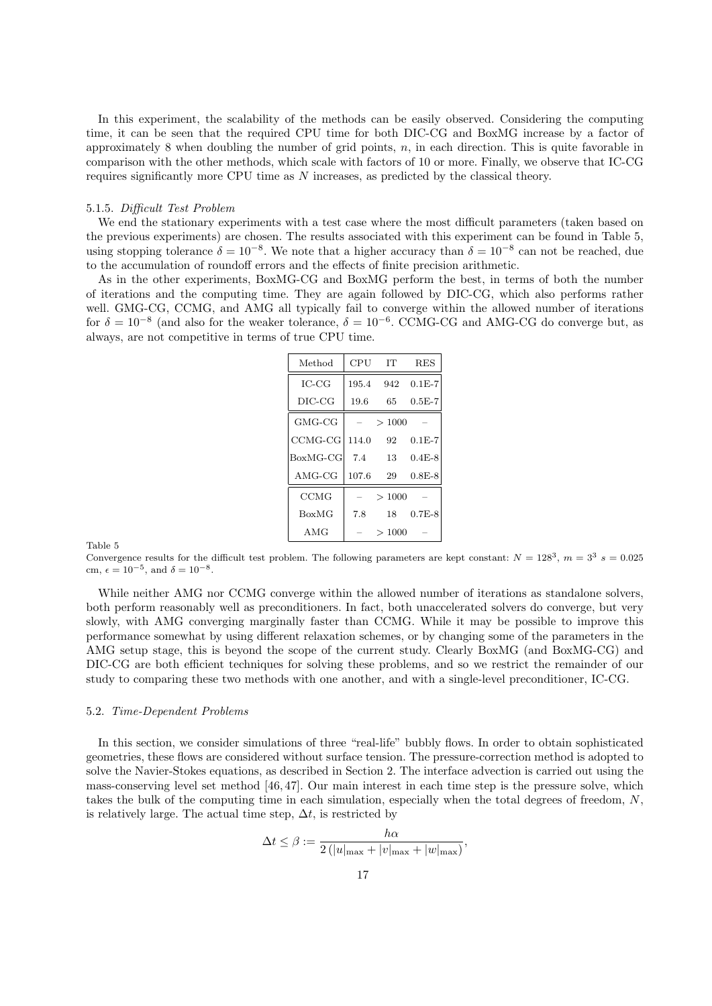In this experiment, the scalability of the methods can be easily observed. Considering the computing time, it can be seen that the required CPU time for both DIC-CG and BoxMG increase by a factor of approximately 8 when doubling the number of grid points, n, in each direction. This is quite favorable in comparison with the other methods, which scale with factors of 10 or more. Finally, we observe that IC-CG requires significantly more CPU time as N increases, as predicted by the classical theory.

## 5.1.5. Difficult Test Problem

We end the stationary experiments with a test case where the most difficult parameters (taken based on the previous experiments) are chosen. The results associated with this experiment can be found in Table 5, using stopping tolerance  $\delta = 10^{-8}$ . We note that a higher accuracy than  $\delta = 10^{-8}$  can not be reached, due to the accumulation of roundoff errors and the effects of finite precision arithmetic.

As in the other experiments, BoxMG-CG and BoxMG perform the best, in terms of both the number of iterations and the computing time. They are again followed by DIC-CG, which also performs rather well. GMG-CG, CCMG, and AMG all typically fail to converge within the allowed number of iterations for  $\delta = 10^{-8}$  (and also for the weaker tolerance,  $\delta = 10^{-6}$ . CCMG-CG and AMG-CG do converge but, as always, are not competitive in terms of true CPU time.

| Method     | CPU   | TТ    | <b>RES</b> |
|------------|-------|-------|------------|
| $IC-CG$    | 195.4 | 942   | $0.1E-7$   |
| DIC-CG     | 19.6  | 65    | $0.5E-7$   |
| GMG-CG     |       | >1000 |            |
| CCMG-CG    | 114.0 | 92    | $0.1E-7$   |
| $BoxMG-CG$ | 7.4   | 13    | $0.4E - 8$ |
| $AMG-CG$   | 107.6 | 29    | $0.8E - 8$ |
| CCMG       |       | >1000 |            |
| BoxMG      | 7.8   | 18    | $0.7E-8$   |
| AMG        |       | >1000 |            |

Table 5

Convergence results for the difficult test problem. The following parameters are kept constant:  $N = 128^3$ ,  $m = 3^3$  s = 0.025 cm,  $\epsilon = 10^{-5}$ , and  $\delta = 10^{-8}$ .

While neither AMG nor CCMG converge within the allowed number of iterations as standalone solvers, both perform reasonably well as preconditioners. In fact, both unaccelerated solvers do converge, but very slowly, with AMG converging marginally faster than CCMG. While it may be possible to improve this performance somewhat by using different relaxation schemes, or by changing some of the parameters in the AMG setup stage, this is beyond the scope of the current study. Clearly BoxMG (and BoxMG-CG) and DIC-CG are both efficient techniques for solving these problems, and so we restrict the remainder of our study to comparing these two methods with one another, and with a single-level preconditioner, IC-CG.

## 5.2. Time-Dependent Problems

In this section, we consider simulations of three "real-life" bubbly flows. In order to obtain sophisticated geometries, these flows are considered without surface tension. The pressure-correction method is adopted to solve the Navier-Stokes equations, as described in Section 2. The interface advection is carried out using the mass-conserving level set method [46, 47]. Our main interest in each time step is the pressure solve, which takes the bulk of the computing time in each simulation, especially when the total degrees of freedom, N, is relatively large. The actual time step,  $\Delta t$ , is restricted by

$$
\Delta t \leq \beta := \frac{h\alpha}{2\left(|u|_{\max} + |v|_{\max} + |w|_{\max}\right)},
$$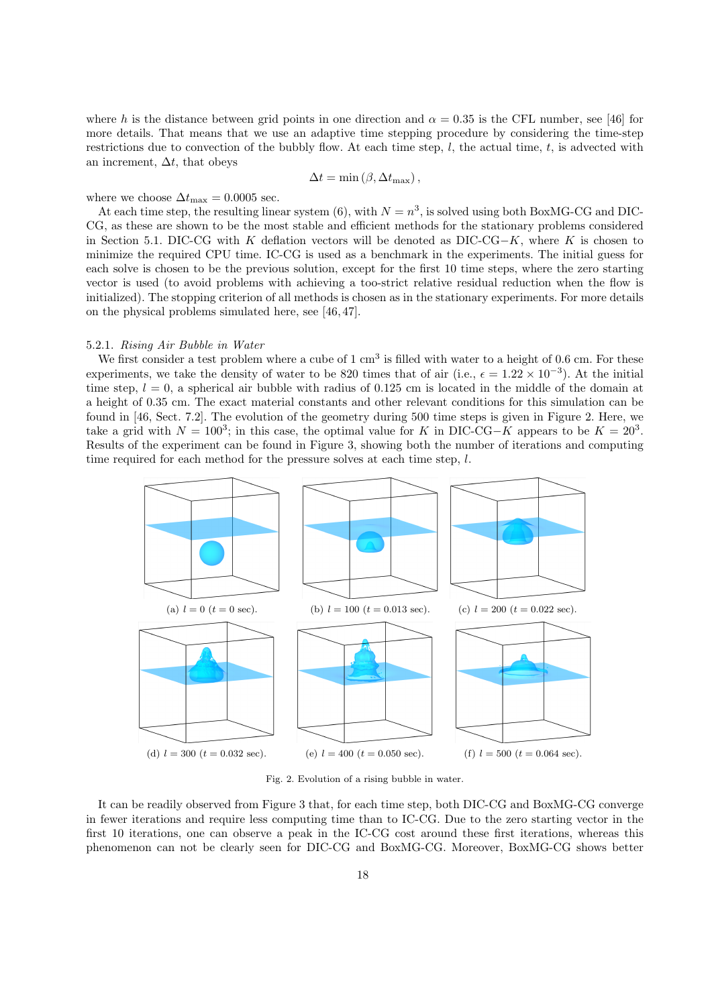where h is the distance between grid points in one direction and  $\alpha = 0.35$  is the CFL number, see [46] for more details. That means that we use an adaptive time stepping procedure by considering the time-step restrictions due to convection of the bubbly flow. At each time step,  $l$ , the actual time,  $t$ , is advected with an increment,  $\Delta t$ , that obeys

$$
\Delta t = \min(\beta, \Delta t_{\max}),
$$

where we choose  $\Delta t_{\text{max}} = 0.0005$  sec.

At each time step, the resulting linear system (6), with  $N = n^3$ , is solved using both BoxMG-CG and DIC-CG, as these are shown to be the most stable and efficient methods for the stationary problems considered in Section 5.1. DIC-CG with K deflation vectors will be denoted as DIC-CG−K, where K is chosen to minimize the required CPU time. IC-CG is used as a benchmark in the experiments. The initial guess for each solve is chosen to be the previous solution, except for the first 10 time steps, where the zero starting vector is used (to avoid problems with achieving a too-strict relative residual reduction when the flow is initialized). The stopping criterion of all methods is chosen as in the stationary experiments. For more details on the physical problems simulated here, see [46, 47].

#### 5.2.1. Rising Air Bubble in Water

We first consider a test problem where a cube of  $1 \text{ cm}^3$  is filled with water to a height of 0.6 cm. For these experiments, we take the density of water to be 820 times that of air (i.e.,  $\epsilon = 1.22 \times 10^{-3}$ ). At the initial time step,  $l = 0$ , a spherical air bubble with radius of 0.125 cm is located in the middle of the domain at a height of 0.35 cm. The exact material constants and other relevant conditions for this simulation can be found in [46, Sect. 7.2]. The evolution of the geometry during 500 time steps is given in Figure 2. Here, we take a grid with  $N = 100^3$ ; in this case, the optimal value for K in DIC-CG−K appears to be  $K = 20^3$ . Results of the experiment can be found in Figure 3, showing both the number of iterations and computing time required for each method for the pressure solves at each time step, l.



Fig. 2. Evolution of a rising bubble in water.

It can be readily observed from Figure 3 that, for each time step, both DIC-CG and BoxMG-CG converge in fewer iterations and require less computing time than to IC-CG. Due to the zero starting vector in the first 10 iterations, one can observe a peak in the IC-CG cost around these first iterations, whereas this phenomenon can not be clearly seen for DIC-CG and BoxMG-CG. Moreover, BoxMG-CG shows better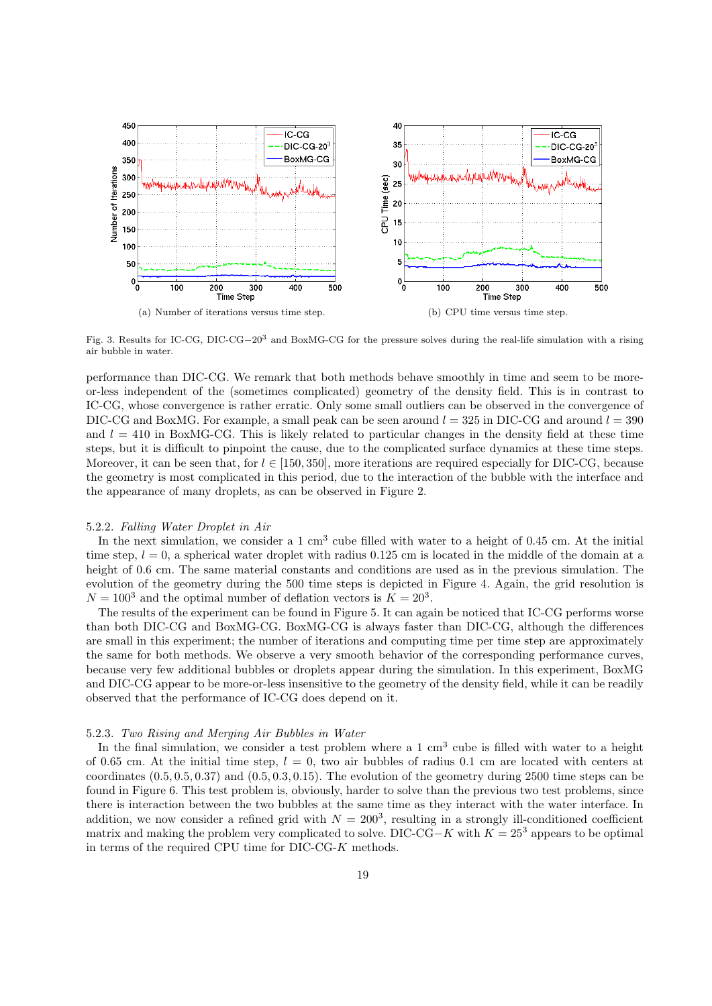

Fig. 3. Results for IC-CG, DIC-CG−20<sup>3</sup> and BoxMG-CG for the pressure solves during the real-life simulation with a rising air bubble in water.

performance than DIC-CG. We remark that both methods behave smoothly in time and seem to be moreor-less independent of the (sometimes complicated) geometry of the density field. This is in contrast to IC-CG, whose convergence is rather erratic. Only some small outliers can be observed in the convergence of DIC-CG and BoxMG. For example, a small peak can be seen around  $l = 325$  in DIC-CG and around  $l = 390$ and  $l = 410$  in BoxMG-CG. This is likely related to particular changes in the density field at these time steps, but it is difficult to pinpoint the cause, due to the complicated surface dynamics at these time steps. Moreover, it can be seen that, for  $l \in [150, 350]$ , more iterations are required especially for DIC-CG, because the geometry is most complicated in this period, due to the interaction of the bubble with the interface and the appearance of many droplets, as can be observed in Figure 2.

#### 5.2.2. Falling Water Droplet in Air

In the next simulation, we consider a  $1 \text{ cm}^3$  cube filled with water to a height of 0.45 cm. At the initial time step,  $l = 0$ , a spherical water droplet with radius 0.125 cm is located in the middle of the domain at a height of 0.6 cm. The same material constants and conditions are used as in the previous simulation. The evolution of the geometry during the 500 time steps is depicted in Figure 4. Again, the grid resolution is  $N = 100<sup>3</sup>$  and the optimal number of deflation vectors is  $K = 20<sup>3</sup>$ .

The results of the experiment can be found in Figure 5. It can again be noticed that IC-CG performs worse than both DIC-CG and BoxMG-CG. BoxMG-CG is always faster than DIC-CG, although the differences are small in this experiment; the number of iterations and computing time per time step are approximately the same for both methods. We observe a very smooth behavior of the corresponding performance curves, because very few additional bubbles or droplets appear during the simulation. In this experiment, BoxMG and DIC-CG appear to be more-or-less insensitive to the geometry of the density field, while it can be readily observed that the performance of IC-CG does depend on it.

#### 5.2.3. Two Rising and Merging Air Bubbles in Water

In the final simulation, we consider a test problem where a 1 cm<sup>3</sup> cube is filled with water to a height of 0.65 cm. At the initial time step,  $l = 0$ , two air bubbles of radius 0.1 cm are located with centers at coordinates (0.5, 0.5, 0.37) and (0.5, 0.3, 0.15). The evolution of the geometry during 2500 time steps can be found in Figure 6. This test problem is, obviously, harder to solve than the previous two test problems, since there is interaction between the two bubbles at the same time as they interact with the water interface. In addition, we now consider a refined grid with  $N = 200<sup>3</sup>$ , resulting in a strongly ill-conditioned coefficient matrix and making the problem very complicated to solve. DIC-CG−K with  $K = 25<sup>3</sup>$  appears to be optimal in terms of the required CPU time for DIC-CG-K methods.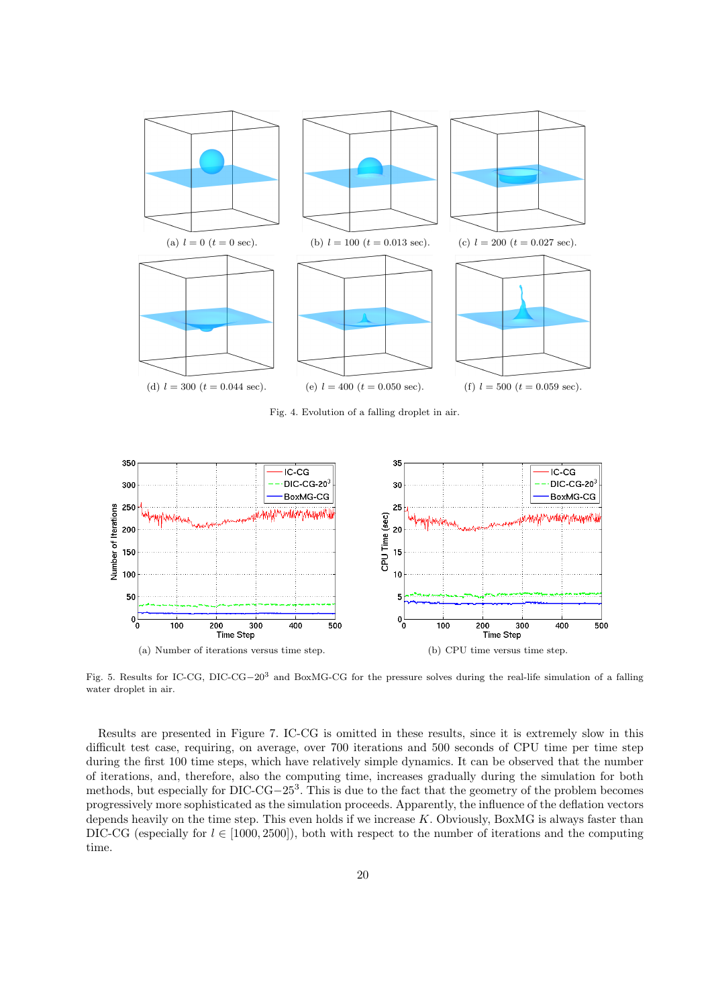

Fig. 4. Evolution of a falling droplet in air.



Fig. 5. Results for IC-CG, DIC-CG−20<sup>3</sup> and BoxMG-CG for the pressure solves during the real-life simulation of a falling water droplet in air.

Results are presented in Figure 7. IC-CG is omitted in these results, since it is extremely slow in this difficult test case, requiring, on average, over 700 iterations and 500 seconds of CPU time per time step during the first 100 time steps, which have relatively simple dynamics. It can be observed that the number of iterations, and, therefore, also the computing time, increases gradually during the simulation for both methods, but especially for DIC-CG−25<sup>3</sup>. This is due to the fact that the geometry of the problem becomes progressively more sophisticated as the simulation proceeds. Apparently, the influence of the deflation vectors depends heavily on the time step. This even holds if we increase  $K$ . Obviously, BoxMG is always faster than DIC-CG (especially for  $l \in [1000, 2500]$ ), both with respect to the number of iterations and the computing time.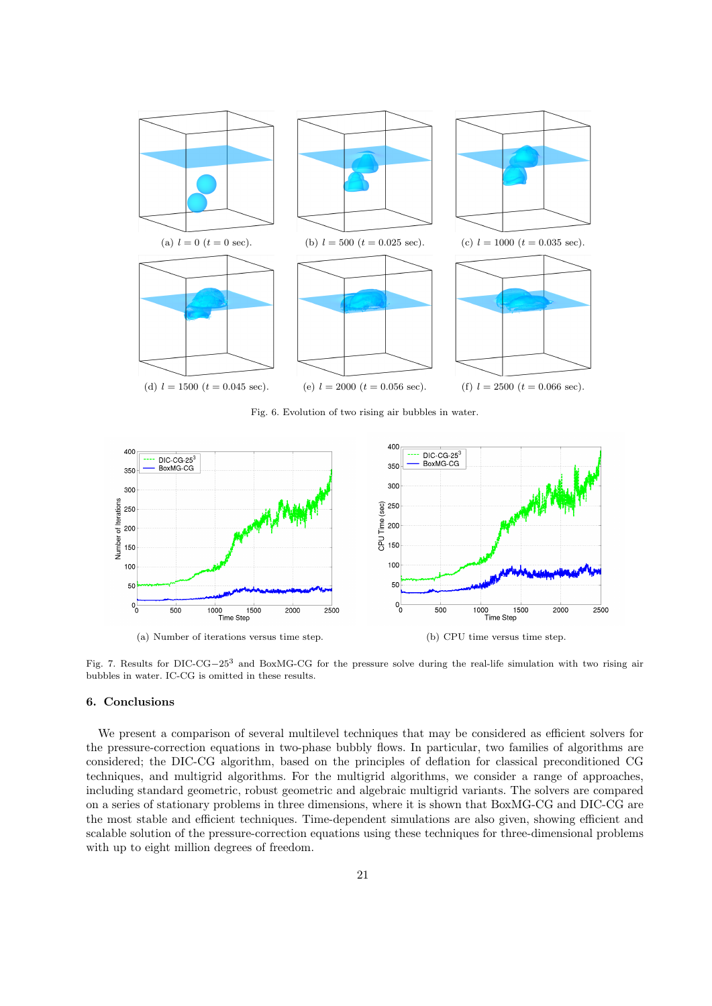

Fig. 6. Evolution of two rising air bubbles in water.



Fig. 7. Results for DIC-CG−25<sup>3</sup> and BoxMG-CG for the pressure solve during the real-life simulation with two rising air bubbles in water. IC-CG is omitted in these results.

## 6. Conclusions

We present a comparison of several multilevel techniques that may be considered as efficient solvers for the pressure-correction equations in two-phase bubbly flows. In particular, two families of algorithms are considered; the DIC-CG algorithm, based on the principles of deflation for classical preconditioned CG techniques, and multigrid algorithms. For the multigrid algorithms, we consider a range of approaches, including standard geometric, robust geometric and algebraic multigrid variants. The solvers are compared on a series of stationary problems in three dimensions, where it is shown that BoxMG-CG and DIC-CG are the most stable and efficient techniques. Time-dependent simulations are also given, showing efficient and scalable solution of the pressure-correction equations using these techniques for three-dimensional problems with up to eight million degrees of freedom.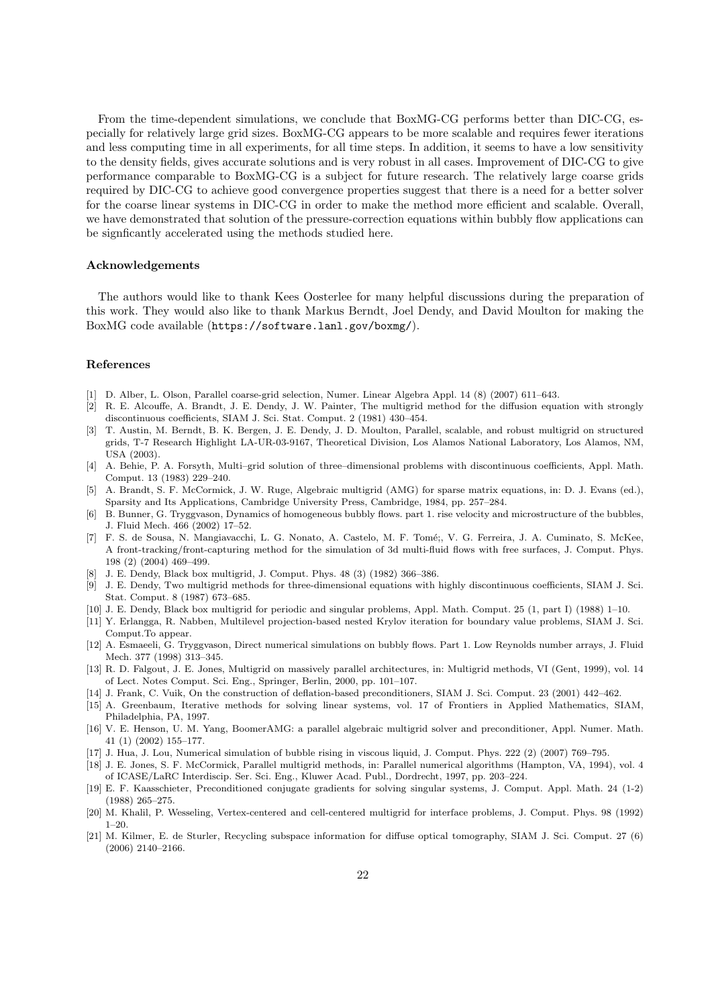From the time-dependent simulations, we conclude that BoxMG-CG performs better than DIC-CG, especially for relatively large grid sizes. BoxMG-CG appears to be more scalable and requires fewer iterations and less computing time in all experiments, for all time steps. In addition, it seems to have a low sensitivity to the density fields, gives accurate solutions and is very robust in all cases. Improvement of DIC-CG to give performance comparable to BoxMG-CG is a subject for future research. The relatively large coarse grids required by DIC-CG to achieve good convergence properties suggest that there is a need for a better solver for the coarse linear systems in DIC-CG in order to make the method more efficient and scalable. Overall, we have demonstrated that solution of the pressure-correction equations within bubbly flow applications can be signficantly accelerated using the methods studied here.

#### Acknowledgements

The authors would like to thank Kees Oosterlee for many helpful discussions during the preparation of this work. They would also like to thank Markus Berndt, Joel Dendy, and David Moulton for making the BoxMG code available (https://software.lanl.gov/boxmg/).

## References

- [1] D. Alber, L. Olson, Parallel coarse-grid selection, Numer. Linear Algebra Appl. 14 (8) (2007) 611–643.
- [2] R. E. Alcouffe, A. Brandt, J. E. Dendy, J. W. Painter, The multigrid method for the diffusion equation with strongly discontinuous coefficients, SIAM J. Sci. Stat. Comput. 2 (1981) 430–454.
- [3] T. Austin, M. Berndt, B. K. Bergen, J. E. Dendy, J. D. Moulton, Parallel, scalable, and robust multigrid on structured grids, T-7 Research Highlight LA-UR-03-9167, Theoretical Division, Los Alamos National Laboratory, Los Alamos, NM, USA (2003).
- [4] A. Behie, P. A. Forsyth, Multi–grid solution of three–dimensional problems with discontinuous coefficients, Appl. Math. Comput. 13 (1983) 229–240.
- [5] A. Brandt, S. F. McCormick, J. W. Ruge, Algebraic multigrid (AMG) for sparse matrix equations, in: D. J. Evans (ed.), Sparsity and Its Applications, Cambridge University Press, Cambridge, 1984, pp. 257–284.
- [6] B. Bunner, G. Tryggvason, Dynamics of homogeneous bubbly flows. part 1. rise velocity and microstructure of the bubbles, J. Fluid Mech. 466 (2002) 17–52.
- [7] F. S. de Sousa, N. Mangiavacchi, L. G. Nonato, A. Castelo, M. F. Tom´e;, V. G. Ferreira, J. A. Cuminato, S. McKee, A front-tracking/front-capturing method for the simulation of 3d multi-fluid flows with free surfaces, J. Comput. Phys. 198 (2) (2004) 469–499.
- [8] J. E. Dendy, Black box multigrid, J. Comput. Phys. 48 (3) (1982) 366–386.
- [9] J. E. Dendy, Two multigrid methods for three-dimensional equations with highly discontinuous coefficients, SIAM J. Sci. Stat. Comput. 8 (1987) 673–685.
- [10] J. E. Dendy, Black box multigrid for periodic and singular problems, Appl. Math. Comput. 25 (1, part I) (1988) 1–10.
- [11] Y. Erlangga, R. Nabben, Multilevel projection-based nested Krylov iteration for boundary value problems, SIAM J. Sci. Comput.To appear.
- [12] A. Esmaeeli, G. Tryggvason, Direct numerical simulations on bubbly flows. Part 1. Low Reynolds number arrays, J. Fluid Mech. 377 (1998) 313–345.
- [13] R. D. Falgout, J. E. Jones, Multigrid on massively parallel architectures, in: Multigrid methods, VI (Gent, 1999), vol. 14 of Lect. Notes Comput. Sci. Eng., Springer, Berlin, 2000, pp. 101–107.
- [14] J. Frank, C. Vuik, On the construction of deflation-based preconditioners, SIAM J. Sci. Comput. 23 (2001) 442–462.
- [15] A. Greenbaum, Iterative methods for solving linear systems, vol. 17 of Frontiers in Applied Mathematics, SIAM, Philadelphia, PA, 1997.
- [16] V. E. Henson, U. M. Yang, BoomerAMG: a parallel algebraic multigrid solver and preconditioner, Appl. Numer. Math. 41 (1) (2002) 155–177.
- [17] J. Hua, J. Lou, Numerical simulation of bubble rising in viscous liquid, J. Comput. Phys. 222 (2) (2007) 769–795.
- [18] J. E. Jones, S. F. McCormick, Parallel multigrid methods, in: Parallel numerical algorithms (Hampton, VA, 1994), vol. 4 of ICASE/LaRC Interdiscip. Ser. Sci. Eng., Kluwer Acad. Publ., Dordrecht, 1997, pp. 203–224.
- [19] E. F. Kaasschieter, Preconditioned conjugate gradients for solving singular systems, J. Comput. Appl. Math. 24 (1-2) (1988) 265–275.
- [20] M. Khalil, P. Wesseling, Vertex-centered and cell-centered multigrid for interface problems, J. Comput. Phys. 98 (1992) 1–20.
- [21] M. Kilmer, E. de Sturler, Recycling subspace information for diffuse optical tomography, SIAM J. Sci. Comput. 27 (6) (2006) 2140–2166.